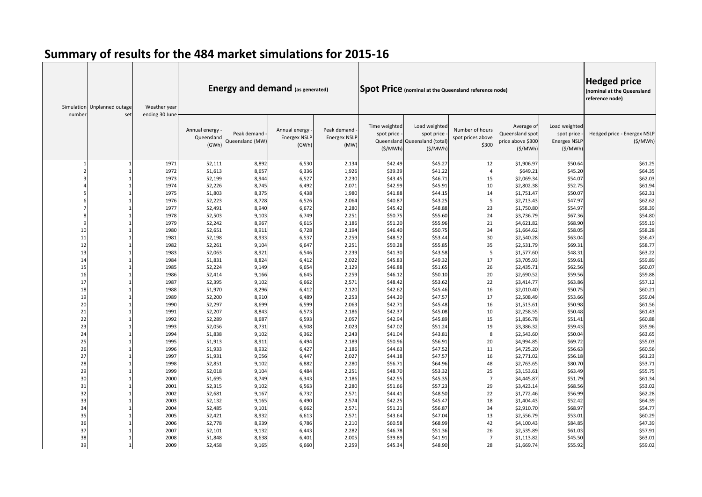| number   | Simulation Unplanned outage<br>set | Weather year<br>ending 30 June | <b>Energy and demand (as generated)</b><br>Spot Price (nominal at the Queensland reference node) |                                |                                               |                                            |                                        |                                                                        |                                               |                                                               |                                                        | <b>Hedged price</b><br>(nominal at the Queensland<br>reference node) |
|----------|------------------------------------|--------------------------------|--------------------------------------------------------------------------------------------------|--------------------------------|-----------------------------------------------|--------------------------------------------|----------------------------------------|------------------------------------------------------------------------|-----------------------------------------------|---------------------------------------------------------------|--------------------------------------------------------|----------------------------------------------------------------------|
|          |                                    |                                | Annual energy<br>Queensland<br>(GWh)                                                             | Peak demand<br>Queensland (MW) | Annual energy<br><b>Energex NSLF</b><br>(GWh) | Peak demand<br><b>Energex NSLP</b><br>(MW) | Time weighted<br>spot price<br>(S/MWh) | Load weighted<br>spot price<br>Queensland Queensland (total<br>(\$/MWh | Number of hours<br>spot prices above<br>\$300 | Average of<br>Queensland spot<br>price above \$300<br>(S/MWh) | Load weighted<br>spot price<br>Energex NSLP<br>(S/MWh) | Hedged price - Energex NSLP<br>(S/MWh)                               |
|          |                                    | 1971                           | 52,111                                                                                           | 8,892                          | 6,530                                         | 2,134                                      | \$42.49                                | \$45.27                                                                | 12                                            | \$1,906.97                                                    | \$50.64                                                | \$61.25                                                              |
|          |                                    | 1972                           | 51,613                                                                                           | 8,657                          | 6,336                                         | 1,926                                      | \$39.39                                | \$41.22                                                                | $\overline{a}$                                | \$649.21                                                      | \$45.20                                                | \$64.35                                                              |
|          |                                    | 1973                           | 52,199                                                                                           | 8,944                          | 6,527                                         | 2,230                                      | \$43.45                                | \$46.71                                                                | 15                                            | \$2,069.34                                                    | \$54.07                                                | \$62.03                                                              |
|          |                                    | 1974                           | 52,226                                                                                           | 8,745                          | 6,492                                         | 2,071                                      | \$42.99                                | \$45.91                                                                | 10                                            | \$2,802.38                                                    | \$52.75                                                | \$61.94                                                              |
|          |                                    | 1975                           | 51,803                                                                                           | 8,375                          | 6,438                                         | 1,980                                      | \$41.88                                | \$44.15                                                                | 14                                            | \$1,751.47                                                    | \$50.07                                                | \$62.31                                                              |
|          |                                    | 1976                           | 52,223                                                                                           | 8,728                          | 6,526                                         | 2,064                                      | \$40.87                                | \$43.25                                                                | 5                                             | \$2,713.43                                                    | \$47.97                                                | \$62.62                                                              |
|          |                                    | 1977                           | 52,491                                                                                           | 8,940                          | 6,672                                         | 2,280                                      | \$45.42                                | \$48.88                                                                | 23                                            | \$1,750.80                                                    | \$54.97                                                | \$58.39                                                              |
|          |                                    | 1978                           | 52,503                                                                                           | 9,103                          | 6,749                                         | 2,251                                      | \$50.75                                | \$55.60                                                                | 24                                            | \$3,736.79                                                    | \$67.36                                                | \$54.80                                                              |
| q        |                                    | 1979                           | 52,242                                                                                           | 8,967                          | 6,615                                         | 2,186                                      | \$51.20                                | \$55.96                                                                | 21                                            | \$4,621.82                                                    | \$68.90                                                | \$55.19                                                              |
| 10       |                                    | 1980                           | 52,651                                                                                           | 8,911                          | 6,728                                         | 2,194                                      | \$46.40                                | \$50.75                                                                | 34                                            | \$1,664.62                                                    | \$58.05                                                | \$58.28                                                              |
| 11       |                                    | 1981                           | 52,198                                                                                           | 8,933                          | 6,537                                         | 2,259                                      | \$48.52                                | \$53.44                                                                | 30                                            | \$2,540.28                                                    | \$63.04                                                | \$56.47                                                              |
| 12       |                                    | 1982                           | 52,261                                                                                           | 9,104                          | 6,647                                         | 2,251                                      | \$50.28                                | \$55.85                                                                | 35                                            | \$2,531.79                                                    | \$69.31                                                | \$58.77                                                              |
| 13       |                                    | 1983                           | 52,063                                                                                           | 8,921                          | 6,546                                         | 2,239                                      | \$41.30                                | \$43.58                                                                | 5                                             | \$1,577.60                                                    | \$48.31                                                | \$63.22                                                              |
| 14       |                                    | 1984                           | 51,831                                                                                           | 8,824                          | 6,412                                         | 2,022                                      | \$45.83                                | \$49.32                                                                | 17                                            | \$3,705.93                                                    | \$59.61                                                | \$59.89                                                              |
| 15       |                                    | 1985                           | 52,224                                                                                           | 9,149                          | 6,654                                         | 2,129                                      | \$46.88                                | \$51.65                                                                | 26                                            | \$2,435.71                                                    | \$62.56                                                | \$60.07                                                              |
| 16       |                                    | 1986                           | 52,414                                                                                           | 9,166                          | 6,645                                         | 2,259                                      | \$46.12                                | \$50.10                                                                | 20                                            | \$2,690.52                                                    | \$59.56                                                | \$59.88                                                              |
| 17       |                                    | 1987                           | 52,395                                                                                           | 9,102                          | 6,662                                         | 2,571                                      | \$48.42                                | \$53.62                                                                | 22                                            | \$3,414.77                                                    | \$63.86                                                | \$57.12                                                              |
| 18       |                                    | 1988                           | 51,970                                                                                           | 8,296                          | 6,412                                         | 2,120                                      | \$42.62<br>\$44.20                     | \$45.46                                                                | 16<br>17                                      | \$2,010.40                                                    | \$50.75                                                | \$60.21                                                              |
| 19<br>20 |                                    | 1989<br>1990                   | 52,200<br>52,297                                                                                 | 8,910<br>8,699                 | 6,489<br>6,599                                | 2,253<br>2,063                             | \$42.71                                | \$47.57<br>\$45.48                                                     | 16                                            | \$2,508.49<br>\$1,513.61                                      | \$53.66<br>\$50.98                                     | \$59.04<br>\$61.56                                                   |
| 21       |                                    | 1991                           | 52,207                                                                                           | 8,843                          | 6,573                                         | 2,186                                      | \$42.37                                | \$45.08                                                                | 10                                            | \$2,258.55                                                    | \$50.48                                                | \$61.43                                                              |
| 22       |                                    | 1992                           | 52,289                                                                                           | 8,687                          | 6,593                                         | 2,057                                      | \$42.94                                | \$45.89                                                                | 15                                            | \$1,856.78                                                    | \$51.41                                                | \$60.88                                                              |
| 23       |                                    | 1993                           | 52,056                                                                                           | 8,731                          | 6,508                                         | 2,023                                      | \$47.02                                | \$51.24                                                                | 19                                            | \$3,386.32                                                    | \$59.43                                                | \$55.96                                                              |
| 24       |                                    | 1994                           | 51,838                                                                                           | 9,102                          | 6,362                                         | 2,243                                      | \$41.04                                | \$43.81                                                                | 8                                             | \$2,543.60                                                    | \$50.04                                                | \$63.65                                                              |
| 25       |                                    | 1995                           | 51,913                                                                                           | 8,911                          | 6,494                                         | 2,189                                      | \$50.96                                | \$56.91                                                                | 20                                            | \$4,994.85                                                    | \$69.72                                                | \$55.03                                                              |
| 26       |                                    | 1996                           | 51,933                                                                                           | 8,932                          | 6,427                                         | 2,186                                      | \$44.63                                | \$47.52                                                                | 11                                            | \$4,725.20                                                    | \$56.63                                                | \$60.56                                                              |
| 27       |                                    | 1997                           | 51,931                                                                                           | 9,056                          | 6,447                                         | 2,027                                      | \$44.18                                | \$47.57                                                                | 16                                            | \$2,771.02                                                    | \$56.18                                                | \$61.23                                                              |
| 28       |                                    | 1998                           | 52,851                                                                                           | 9,102                          | 6,882                                         | 2,280                                      | \$56.71                                | \$64.96                                                                | 48                                            | \$2,763.65                                                    | \$80.70                                                | \$53.71                                                              |
| 29       |                                    | 1999                           | 52,018                                                                                           | 9,104                          | 6,484                                         | 2,251                                      | \$48.70                                | \$53.32                                                                | 25                                            | \$3,153.61                                                    | \$63.49                                                | \$55.75                                                              |
| 30       |                                    | 2000                           | 51,695                                                                                           | 8,749                          | 6,343                                         | 2,186                                      | \$42.55                                | \$45.35                                                                | $\overline{7}$                                | \$4,445.87                                                    | \$51.79                                                | \$61.34                                                              |
| 31       |                                    | 2001                           | 52,315                                                                                           | 9,102                          | 6,563                                         | 2,280                                      | \$51.66                                | \$57.23                                                                | 29                                            | \$3,423.14                                                    | \$68.56                                                | \$53.02                                                              |
| 32       |                                    | 2002                           | 52,681                                                                                           | 9,167                          | 6,732                                         | 2,571                                      | \$44.41                                | \$48.50                                                                | 22                                            | \$1,772.46                                                    | \$56.99                                                | \$62.28                                                              |
| 33       |                                    | 2003                           | 52,132                                                                                           | 9,165                          | 6,490                                         | 2,574                                      | \$42.25                                | \$45.47                                                                | 18                                            | \$1,404.43                                                    | \$52.42                                                | \$64.39                                                              |
| 34       |                                    | 2004                           | 52,485                                                                                           | 9,101                          | 6,662                                         | 2,571                                      | \$51.21                                | \$56.87                                                                | 34                                            | \$2,910.70                                                    | \$68.97                                                | \$54.77                                                              |
| 35       |                                    | 2005                           | 52,421                                                                                           | 8,932                          | 6,613                                         | 2,571                                      | \$43.64                                | \$47.04                                                                | 13                                            | \$2,556.79                                                    | \$53.01                                                | \$60.29                                                              |
| 36       |                                    | 2006                           | 52,778                                                                                           | 8,939                          | 6,786                                         | 2,210                                      | \$60.58                                | \$68.99                                                                | 42                                            | \$4,100.43                                                    | \$84.85                                                | \$47.39                                                              |
| 37       |                                    | 2007                           | 52,101                                                                                           | 9,132                          | 6,443                                         | 2,282                                      | \$46.78                                | \$51.36                                                                | 26                                            | \$2,535.89                                                    | \$61.03                                                | \$57.91                                                              |
| 38       |                                    | 2008                           | 51,848                                                                                           | 8,638                          | 6,401                                         | 2,005                                      | \$39.89                                | \$41.91                                                                | $\overline{7}$                                | \$1,113.82                                                    | \$45.50                                                | \$63.01                                                              |
| 39       |                                    | 2009                           | 52,458                                                                                           | 9,165                          | 6,660                                         | 2,259                                      | \$45.34                                | \$48.90                                                                | 28                                            | \$1,669.74                                                    | \$55.92                                                | \$59.02                                                              |

## **Summary of results for the 484 market simulations for 2015-16**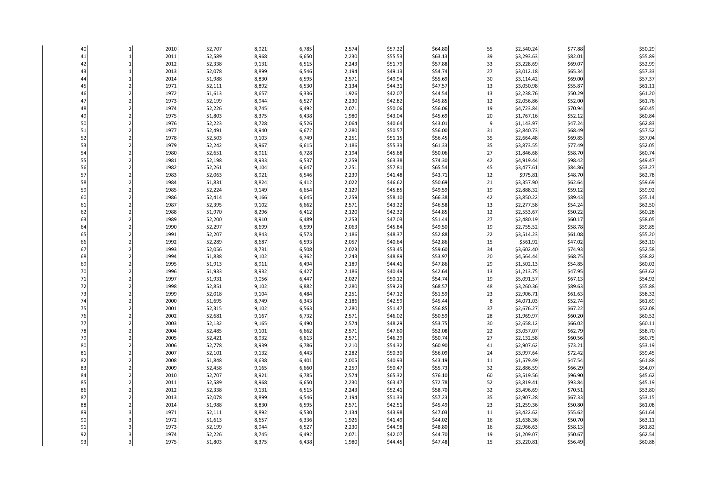| 40       | $\mathbf{1}$   | 2010 | 52,707 | 8,921 | 6,785 | 2,574 | \$57.22 | \$64.80            | 55       | \$2,540.24 | \$77.88 | \$50.29 |
|----------|----------------|------|--------|-------|-------|-------|---------|--------------------|----------|------------|---------|---------|
| 41       | $\mathbf{1}$   | 2011 | 52,589 | 8,968 | 6,650 | 2,230 | \$55.53 | \$63.13            | 39       | \$3,293.63 | \$82.01 | \$55.89 |
| 42       | $\mathbf{1}$   | 2012 | 52,338 | 9,131 | 6,515 | 2,243 | \$51.79 | \$57.88            | 33       | \$3,228.69 | \$69.07 | \$52.99 |
| 43       | $\mathbf{1}$   | 2013 | 52,078 | 8,899 | 6,546 | 2,194 | \$49.13 | \$54.74            | 27       | \$3,012.18 | \$65.34 | \$57.33 |
| 44       | $\mathbf{1}$   | 2014 | 51,988 | 8,830 | 6,595 | 2,571 | \$49.94 | \$55.69            | 30       | \$3,114.42 | \$69.00 | \$57.37 |
| 45       | $\overline{2}$ | 1971 | 52,111 | 8,892 | 6,530 | 2,134 | \$44.31 | \$47.57            | 13       | \$3,050.98 | \$55.87 | \$61.11 |
| 46       | $\overline{2}$ | 1972 | 51,613 | 8,657 | 6,336 | 1,926 | \$42.07 | \$44.54            | 13       | \$2,238.76 | \$50.29 | \$61.20 |
| 47       | $\overline{2}$ | 1973 | 52,199 | 8,944 | 6,527 | 2,230 | \$42.82 | \$45.85            | 12       | \$2,056.86 | \$52.00 | \$61.76 |
| 48       | $\overline{2}$ | 1974 | 52,226 | 8,745 | 6,492 | 2,071 | \$50.06 | \$56.06            | 19       | \$4,723.84 | \$70.94 | \$60.45 |
| 49       | $\overline{2}$ | 1975 | 51,803 | 8,375 | 6,438 | 1,980 | \$43.04 | \$45.69            | 20       | \$1,767.16 | \$52.12 | \$60.84 |
| 50       | $\overline{2}$ | 1976 | 52,223 | 8,728 | 6,526 | 2,064 | \$40.64 | \$43.01            | 9        | \$1,143.97 | \$47.24 | \$62.83 |
| 51       | $\overline{2}$ | 1977 | 52,491 | 8,940 | 6,672 | 2,280 | \$50.57 | \$56.00            | 31       | \$2,840.73 | \$68.49 | \$57.52 |
| 52       | $\overline{2}$ | 1978 | 52,503 | 9,103 | 6,749 | 2,251 | \$51.15 | \$56.45            | 35       | \$2,664.48 | \$69.85 | \$57.04 |
| 53       | $\overline{2}$ | 1979 | 52,242 | 8,967 | 6,615 | 2,186 | \$55.33 | \$61.33            | 35       | \$3,873.55 | \$77.49 | \$52.05 |
| 54       | $\overline{2}$ | 1980 | 52,651 | 8,911 | 6,728 | 2,194 | \$45.68 | \$50.06            | 27       | \$1,846.68 | \$58.70 | \$60.74 |
| 55       | $\overline{2}$ | 1981 | 52,198 | 8,933 | 6,537 | 2,259 | \$63.38 | \$74.30            | 42       | \$4,919.44 | \$98.42 | \$49.47 |
| 56       | $\overline{2}$ | 1982 | 52,261 | 9,104 | 6,647 | 2,251 | \$57.81 | \$65.54            | 45       | \$3,477.61 | \$84.86 | \$53.27 |
| 57       | $\overline{2}$ | 1983 | 52,063 | 8,921 | 6,546 | 2,239 | \$41.48 | \$43.71            | 12       | \$975.81   | \$48.70 | \$62.78 |
| 58       | $\overline{2}$ | 1984 | 51,831 | 8,824 | 6,412 | 2,022 | \$46.62 | \$50.69            | 21       | \$3,357.90 | \$62.64 | \$59.69 |
| 59       | $\overline{2}$ | 1985 | 52,224 | 9,149 | 6,654 | 2,129 | \$45.85 | \$49.59            | 19       | \$2,888.32 | \$59.12 | \$59.92 |
| 60       | $\overline{2}$ | 1986 | 52,414 | 9,166 | 6,645 | 2,259 | \$58.10 | \$66.38            | 42       | \$3,850.22 | \$89.43 | \$55.14 |
| 61       | $\overline{2}$ | 1987 | 52,395 | 9,102 | 6,662 | 2,571 | \$43.22 | \$46.58            | 13       | \$2,277.58 | \$54.24 | \$62.50 |
| 62       | $\overline{2}$ | 1988 | 51,970 | 8,296 | 6,412 | 2,120 | \$42.32 | \$44.85            | 12       | \$2,553.67 | \$50.22 | \$60.28 |
| 63       | $\overline{2}$ | 1989 | 52,200 | 8,910 | 6,489 | 2,253 | \$47.03 | \$51.44            | 27       | \$2,480.19 | \$60.17 | \$58.05 |
| 64       | $\overline{2}$ | 1990 | 52,297 | 8,699 | 6,599 | 2,063 | \$45.84 | \$49.50            | 19       | \$2,755.52 | \$58.78 | \$59.85 |
| 65       | $\overline{2}$ | 1991 | 52,207 | 8,843 | 6,573 | 2,186 | \$48.37 | \$52.88            | 22       | \$3,514.23 | \$61.08 | \$55.20 |
| 66       | $\overline{2}$ | 1992 | 52,289 | 8,687 | 6,593 | 2,057 | \$40.64 | \$42.86            | 15       | \$561.92   | \$47.02 | \$63.10 |
| 67       | $\overline{2}$ | 1993 | 52,056 | 8,731 | 6,508 | 2,023 | \$53.45 | \$59.60            | 34       | \$3,602.40 | \$74.93 | \$52.58 |
| 68       | $\overline{2}$ | 1994 | 51,838 | 9,102 | 6,362 | 2,243 | \$48.89 | \$53.97            | 20       | \$4,564.44 | \$68.75 | \$58.82 |
| 69       | $\overline{2}$ | 1995 | 51,913 | 8,911 | 6,494 | 2,189 | \$44.41 | \$47.86            | 29       | \$1,502.13 | \$54.85 | \$60.02 |
| 70       | $\overline{2}$ | 1996 | 51,933 | 8,932 | 6,427 | 2,186 | \$40.49 | \$42.64            | 13       | \$1,213.75 | \$47.95 | \$63.62 |
| 71       | $\overline{2}$ | 1997 | 51,931 | 9,056 | 6,447 | 2,027 | \$50.12 | \$54.74            | 19       | \$5,091.57 | \$67.13 | \$54.92 |
| $72\,$   | $\overline{2}$ | 1998 | 52,851 | 9,102 | 6,882 | 2,280 | \$59.23 | \$68.57            | 48       | \$3,260.36 | \$89.63 | \$55.88 |
| 73       | $\overline{2}$ | 1999 | 52,018 | 9,104 | 6,484 | 2,251 | \$47.12 | \$51.59            | 23       | \$2,906.71 | \$61.63 | \$58.32 |
| 74       | $\overline{2}$ | 2000 | 51,695 | 8,749 | 6,343 | 2,186 | \$42.59 | \$45.44            | 8        | \$4,071.03 | \$52.74 | \$61.69 |
| 75       | $\overline{2}$ | 2001 | 52,315 | 9,102 | 6,563 | 2,280 | \$51.47 | \$56.85            | 37       | \$2,676.27 | \$67.22 | \$52.08 |
| 76       | $\overline{2}$ | 2002 | 52,681 | 9,167 | 6,732 | 2,571 | \$46.02 | \$50.59            | 28       | \$1,969.97 | \$60.20 | \$60.52 |
| 77       | $\overline{2}$ | 2003 | 52,132 | 9,165 | 6,490 | 2,574 | \$48.29 | \$53.75            | 30       | \$2,658.12 | \$66.02 | \$60.11 |
| 78       | $\overline{2}$ | 2004 | 52,485 | 9,101 | 6,662 | 2,571 | \$47.60 | \$52.08            | 22       | \$3,057.07 | \$62.79 | \$58.70 |
| 79       | $\overline{2}$ | 2005 | 52,421 | 8,932 | 6,613 | 2,571 | \$46.29 | \$50.74            | 27       | \$2,132.58 | \$60.56 | \$60.75 |
| 80       | $\overline{2}$ | 2006 | 52,778 | 8,939 | 6,786 | 2,210 | \$54.32 | \$60.90            | 41       | \$2,907.62 | \$73.21 | \$53.19 |
| 81       | $\overline{2}$ | 2007 | 52,101 | 9,132 | 6,443 | 2,282 | \$50.30 | \$56.09            | 24       | \$3,997.64 | \$72.42 | \$59.45 |
| 82       | $\overline{2}$ | 2008 | 51,848 | 8,638 | 6,401 | 2,005 | \$40.93 | \$43.19            | 11       | \$1,579.49 | \$47.54 | \$61.88 |
| 83       | $\overline{2}$ | 2009 | 52,458 | 9,165 | 6,660 | 2,259 | \$50.47 | \$55.73            | 32       | \$2,886.59 | \$66.29 | \$54.07 |
| 84       | $\overline{2}$ | 2010 | 52,707 | 8,921 | 6,785 | 2,574 | \$65.32 | \$76.10            | 60       | \$3,519.56 | \$96.90 | \$45.62 |
| 85       | $\overline{2}$ | 2011 | 52,589 | 8,968 | 6,650 | 2,230 | \$63.47 | \$72.78            | 52       | \$3,819.41 | \$93.84 | \$45.19 |
| 86       | $\overline{2}$ | 2012 | 52,338 | 9,131 | 6,515 | 2,243 | \$52.41 | \$58.70            | 32       | \$3,496.69 | \$70.51 | \$53.80 |
| 87       | $\overline{2}$ | 2013 | 52,078 | 8,899 | 6,546 | 2,194 | \$51.33 | \$57.23            | 35       | \$2,907.28 | \$67.33 | \$53.15 |
| 88       | $\overline{2}$ | 2014 | 51,988 | 8,830 | 6,595 | 2,571 | \$42.51 | \$45.49            | 23       | \$1,259.36 | \$50.80 | \$61.08 |
| 89       | 3              | 1971 | 52,111 | 8,892 | 6,530 | 2,134 | \$43.98 | \$47.03            | 11       | \$3,422.62 | \$55.62 | \$61.64 |
| 90<br>91 | 3              | 1972 | 51,613 | 8,657 | 6,336 | 1,926 | \$41.49 | \$44.02            | 16       | \$1,638.36 | \$50.70 | \$63.11 |
|          | 3              | 1973 | 52,199 | 8,944 | 6,527 | 2,230 | \$44.98 | \$48.80            | 16       | \$2,966.63 | \$58.13 | \$61.82 |
| 92<br>93 | 3<br>3         | 1974 | 52,226 | 8,745 | 6,492 | 2,071 | \$42.07 | \$44.70<br>\$47.48 | 19<br>15 | \$1,209.07 | \$50.67 | \$62.54 |
|          |                | 1975 | 51,803 | 8,375 | 6,438 | 1,980 | \$44.45 |                    |          | \$3,220.81 | \$56.49 | \$60.88 |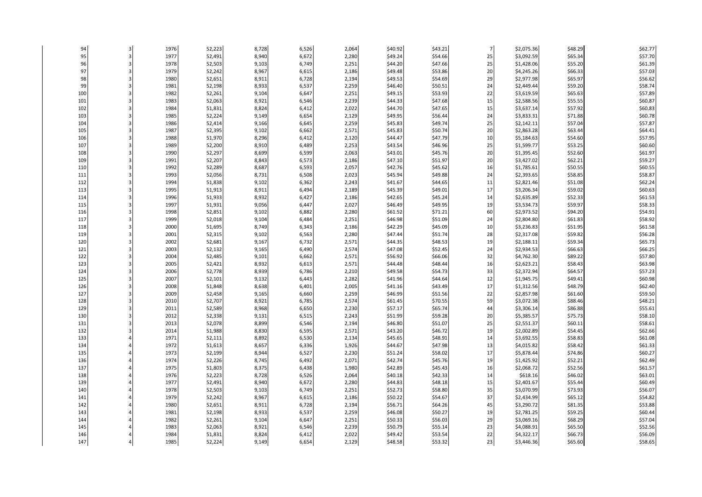| 94  |   | 1976 | 52,223 | 8,728 | 6,526 | 2,064 | \$40.92 | \$43.21 | $\overline{7}$ | \$2,075.36 | \$48.29 | \$62.77 |
|-----|---|------|--------|-------|-------|-------|---------|---------|----------------|------------|---------|---------|
| 95  | 3 | 1977 | 52,491 | 8,940 | 6,672 | 2,280 | \$49.24 | \$54.66 | 25             | \$3,092.59 | \$65.34 | \$57.70 |
| 96  |   | 1978 | 52,503 | 9,103 | 6,749 | 2,251 | \$44.20 | \$47.66 | 25             | \$1,428.06 | \$55.20 | \$61.39 |
| 97  |   | 1979 | 52,242 | 8,967 | 6,615 | 2,186 | \$49.48 | \$53.86 | 20             | \$4,245.26 | \$66.33 | \$57.03 |
| 98  |   | 1980 | 52,651 | 8,911 | 6,728 | 2,194 | \$49.53 | \$54.69 | 29             | \$2,977.98 | \$65.97 | \$56.62 |
| 99  |   | 1981 | 52,198 | 8,933 | 6,537 | 2,259 | \$46.40 | \$50.51 | 24             | \$2,449.44 | \$59.20 | \$58.74 |
| 100 |   | 1982 | 52,261 | 9,104 | 6,647 | 2,251 | \$49.15 | \$53.93 | 22             | \$3,619.59 | \$65.63 | \$57.89 |
| 101 |   | 1983 | 52,063 | 8,921 | 6,546 | 2,239 | \$44.33 | \$47.68 | 15             | \$2,588.56 | \$55.55 | \$60.87 |
| 102 |   | 1984 | 51,831 | 8,824 | 6,412 | 2,022 | \$44.70 | \$47.65 | 15             | \$3,637.14 | \$57.92 | \$60.83 |
| 103 |   | 1985 | 52,224 | 9,149 | 6,654 | 2,129 | \$49.95 | \$56.44 | 24             | \$3,833.31 | \$71.88 | \$60.78 |
| 104 |   | 1986 | 52,414 | 9,166 | 6,645 | 2,259 | \$45.83 | \$49.74 | 25             | \$2,142.11 | \$57.04 | \$57.87 |
| 105 |   | 1987 | 52,395 | 9,102 | 6,662 | 2,571 | \$45.83 | \$50.74 | 20             | \$2,863.28 | \$63.44 | \$64.41 |
| 106 |   | 1988 | 51,970 | 8,296 | 6,412 | 2,120 | \$44.47 | \$47.79 | 10             | \$5,184.63 | \$54.60 | \$57.95 |
| 107 |   | 1989 | 52,200 | 8,910 | 6,489 | 2,253 | \$43.54 | \$46.96 | 25             | \$1,599.77 | \$53.25 | \$60.60 |
| 108 |   | 1990 | 52,297 | 8,699 | 6,599 | 2,063 | \$43.01 | \$45.76 | 20             | \$1,395.45 | \$52.60 | \$61.97 |
| 109 |   | 1991 | 52,207 | 8,843 | 6,573 | 2,186 | \$47.10 | \$51.97 | 20             | \$3,427.02 | \$62.21 | \$59.27 |
| 110 |   | 1992 | 52,289 | 8,687 | 6,593 | 2,057 | \$42.76 | \$45.62 | 16             | \$1,785.61 | \$50.55 | \$60.55 |
| 111 |   | 1993 | 52,056 | 8,731 | 6,508 | 2,023 | \$45.94 | \$49.88 | 24             | \$2,393.65 | \$58.85 | \$58.87 |
| 112 |   | 1994 | 51,838 | 9,102 | 6,362 | 2,243 | \$41.67 | \$44.65 | 11             | \$2,821.46 | \$51.08 | \$62.24 |
| 113 |   | 1995 | 51,913 | 8,911 | 6,494 | 2,189 | \$45.39 | \$49.01 | 17             | \$3,206.34 | \$59.02 | \$60.63 |
| 114 |   | 1996 | 51,933 | 8,932 | 6,427 | 2,186 | \$42.65 | \$45.24 | 14             | \$2,635.89 | \$52.33 | \$61.53 |
| 115 |   | 1997 | 51,931 | 9,056 | 6,447 | 2,027 | \$46.49 | \$49.95 | 19             | \$3,534.73 | \$59.97 | \$58.33 |
| 116 |   | 1998 | 52,851 | 9,102 | 6,882 | 2,280 | \$61.52 | \$71.21 | 60             | \$2,973.52 | \$94.20 | \$54.91 |
| 117 |   | 1999 | 52,018 | 9,104 | 6,484 | 2,251 | \$46.98 | \$51.09 | 24             | \$2,804.80 | \$61.83 | \$58.92 |
| 118 |   | 2000 | 51,695 | 8,749 | 6,343 | 2,186 | \$42.29 | \$45.09 | 10             | \$3,236.83 | \$51.95 | \$61.58 |
| 119 |   | 2001 | 52,315 | 9,102 | 6,563 | 2,280 | \$47.44 | \$51.74 | 28             | \$2,317.08 | \$59.82 | \$56.28 |
| 120 |   | 2002 | 52,681 | 9,167 | 6,732 | 2,571 | \$44.35 | \$48.53 | 19             | \$2,188.11 | \$59.34 | \$65.73 |
| 121 |   | 2003 | 52,132 | 9,165 | 6,490 | 2,574 | \$47.08 | \$52.45 | 24             | \$2,934.53 | \$66.63 | \$66.25 |
| 122 |   | 2004 | 52,485 | 9,101 | 6,662 | 2,571 | \$56.92 | \$66.06 | 32             | \$4,762.30 | \$89.22 | \$57.80 |
| 123 |   | 2005 | 52,421 | 8,932 | 6,613 | 2,571 | \$44.48 | \$48.44 | 16             | \$2,623.21 | \$58.43 | \$63.98 |
| 124 |   | 2006 | 52,778 | 8,939 | 6,786 | 2,210 | \$49.58 | \$54.73 | 33             | \$2,372.94 | \$64.57 | \$57.23 |
| 125 |   | 2007 | 52,101 | 9,132 | 6,443 | 2,282 | \$41.96 | \$44.64 | 12             | \$1,945.75 | \$49.41 | \$60.98 |
| 126 |   | 2008 | 51,848 | 8,638 | 6,401 | 2,005 | \$41.16 | \$43.49 | 17             | \$1,312.56 | \$48.79 | \$62.40 |
| 127 |   | 2009 | 52,458 | 9,165 | 6,660 | 2,259 | \$46.99 | \$51.56 | 22             | \$2,857.98 | \$61.60 | \$59.50 |
| 128 |   | 2010 | 52,707 | 8,921 | 6,785 | 2,574 | \$61.45 | \$70.55 | 59             | \$3,072.38 | \$88.46 | \$48.21 |
| 129 |   | 2011 | 52,589 | 8,968 | 6,650 | 2,230 | \$57.17 | \$65.74 | 44             | \$3,306.14 | \$86.88 | \$55.61 |
| 130 |   | 2012 | 52,338 | 9,131 | 6,515 | 2,243 | \$51.99 | \$59.28 | 20             | \$5,385.57 | \$75.73 | \$58.10 |
| 131 |   | 2013 | 52,078 | 8,899 | 6,546 | 2,194 | \$46.80 | \$51.07 | 25             | \$2,551.37 | \$60.11 | \$58.61 |
| 132 |   | 2014 | 51,988 | 8,830 | 6,595 | 2,571 | \$43.20 | \$46.72 | 19             | \$2,002.89 | \$54.45 | \$62.66 |
| 133 |   | 1971 | 52,111 | 8,892 | 6,530 | 2,134 | \$45.65 | \$48.91 | 14             | \$3,692.55 | \$58.83 | \$61.08 |
| 134 |   | 1972 | 51,613 | 8,657 | 6,336 | 1,926 | \$44.67 | \$47.98 | 13             | \$4,015.82 | \$58.42 | \$61.33 |
| 135 |   | 1973 | 52,199 | 8,944 | 6,527 | 2,230 | \$51.24 | \$58.02 | 17             | \$5,878.44 | \$74.86 | \$60.27 |
| 136 |   | 1974 | 52,226 | 8,745 | 6,492 | 2,071 | \$42.74 | \$45.76 | 19             | \$1,425.92 | \$52.21 | \$62.49 |
| 137 |   | 1975 | 51,803 | 8,375 | 6,438 | 1,980 | \$42.89 | \$45.43 | 16             | \$2,068.72 | \$52.56 | \$61.57 |
| 138 |   | 1976 | 52,223 | 8,728 | 6,526 | 2,064 | \$40.18 | \$42.33 | 14             | \$618.16   | \$46.02 | \$63.01 |
| 139 |   | 1977 | 52,491 | 8,940 | 6,672 | 2,280 | \$44.83 | \$48.18 | 15             | \$2,401.67 | \$55.44 | \$60.49 |
| 140 |   | 1978 | 52,503 | 9,103 | 6,749 | 2,251 | \$52.73 | \$58.80 | 35             | \$3,070.99 | \$73.93 | \$56.07 |
| 141 |   | 1979 | 52,242 | 8,967 | 6,615 | 2,186 | \$50.22 | \$54.67 | 37             | \$2,434.99 | \$65.12 | \$54.82 |
| 142 |   | 1980 | 52,651 | 8,911 | 6,728 | 2,194 | \$56.71 | \$64.26 | 45             | \$3,290.72 | \$81.35 | \$53.88 |
| 143 |   | 1981 | 52,198 | 8,933 | 6,537 | 2,259 | \$46.08 | \$50.27 | 19             | \$2,781.25 | \$59.25 | \$60.44 |
| 144 |   | 1982 | 52,261 | 9,104 | 6,647 | 2,251 | \$50.33 | \$56.03 | 29             | \$3,069.16 | \$68.29 | \$57.04 |
| 145 |   | 1983 | 52,063 | 8,921 | 6,546 | 2,239 | \$50.79 | \$55.14 | 23             | \$4,088.91 | \$65.50 | \$52.56 |
| 146 |   | 1984 | 51,831 | 8,824 | 6,412 | 2,022 | \$49.42 | \$53.54 | 22             | \$4,322.17 | \$66.73 | \$56.09 |
| 147 |   | 1985 | 52,224 | 9,149 | 6,654 | 2,129 | \$48.58 | \$53.32 | 23             | \$3,446.36 | \$65.60 | \$58.65 |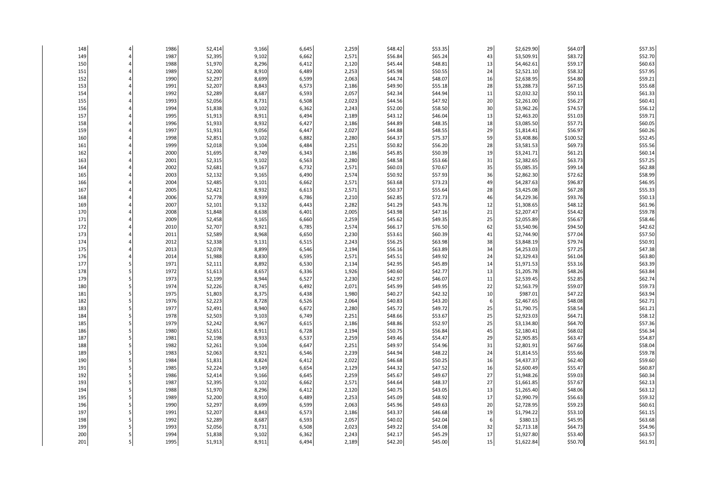| 52,395<br>\$65.24<br>\$83.72<br>1987<br>9,102<br>6,662<br>2,571<br>\$56.84<br>43<br>\$3,509.91<br>149<br>150<br>1988<br>51,970<br>8,296<br>6,412<br>2,120<br>\$45.44<br>\$48.81<br>13<br>\$59.17<br>\$4,462.61<br>52,200<br>8,910<br>6,489<br>2,253<br>\$45.98<br>\$50.55<br>24<br>\$2,521.10<br>\$58.32<br>151<br>1989<br>152<br>1990<br>52,297<br>8,699<br>6,599<br>2,063<br>\$44.74<br>\$48.07<br>16<br>\$2,638.95<br>\$54.80 | \$52.70<br>\$60.63<br>\$57.95<br>\$59.21<br>\$55.68 |
|----------------------------------------------------------------------------------------------------------------------------------------------------------------------------------------------------------------------------------------------------------------------------------------------------------------------------------------------------------------------------------------------------------------------------------|-----------------------------------------------------|
|                                                                                                                                                                                                                                                                                                                                                                                                                                  |                                                     |
|                                                                                                                                                                                                                                                                                                                                                                                                                                  |                                                     |
|                                                                                                                                                                                                                                                                                                                                                                                                                                  |                                                     |
|                                                                                                                                                                                                                                                                                                                                                                                                                                  |                                                     |
| 2,186<br>28<br>\$67.15<br>153<br>1991<br>52,207<br>8,843<br>6,573<br>\$49.90<br>\$55.18<br>\$3,288.73                                                                                                                                                                                                                                                                                                                            |                                                     |
| 154<br>1992<br>52,289<br>8,687<br>6,593<br>2,057<br>\$42.34<br>\$44.94<br>\$2,032.32<br>\$50.11<br>11                                                                                                                                                                                                                                                                                                                            | \$61.33                                             |
| 2,023<br>20<br>\$56.27<br>155<br>1993<br>52,056<br>8,731<br>6,508<br>\$44.56<br>\$47.92<br>\$2,261.00                                                                                                                                                                                                                                                                                                                            | \$60.41                                             |
| 156<br>1994<br>51,838<br>9,102<br>6,362<br>2,243<br>\$52.00<br>\$58.50<br>30<br>\$3,962.26<br>\$74.57                                                                                                                                                                                                                                                                                                                            | \$56.12                                             |
| 2,189<br>\$46.04<br>157<br>1995<br>51,913<br>8,911<br>6,494<br>\$43.12<br>13<br>\$2,463.20<br>\$51.03                                                                                                                                                                                                                                                                                                                            | \$59.71                                             |
| \$57.71<br>158<br>1996<br>51,933<br>8,932<br>6,427<br>2,186<br>\$44.89<br>\$48.35<br>18<br>\$3,085.50                                                                                                                                                                                                                                                                                                                            | \$60.05                                             |
| 1997<br>2,027<br>\$48.55<br>29<br>\$56.97<br>159<br>51,931<br>9,056<br>6,447<br>\$44.88<br>\$1,814.41                                                                                                                                                                                                                                                                                                                            | \$60.26                                             |
| 6,882<br>2,280<br>\$75.37<br>59<br>160<br>1998<br>52,851<br>9,102<br>\$64.37<br>\$3,408.86<br>\$100.52                                                                                                                                                                                                                                                                                                                           | \$52.45                                             |
| 161<br>1999<br>52,018<br>9,104<br>6,484<br>2,251<br>\$50.82<br>\$56.20<br>28<br>\$3,581.53<br>\$69.73                                                                                                                                                                                                                                                                                                                            | \$55.56                                             |
| \$50.39<br>162<br>2000<br>51,695<br>8,749<br>6,343<br>2,186<br>\$45.85<br>19<br>\$3,241.71<br>\$61.21                                                                                                                                                                                                                                                                                                                            | \$60.14                                             |
| 163<br>2001<br>9,102<br>6,563<br>2,280<br>\$48.58<br>\$53.66<br>31<br>\$2,382.65<br>\$63.73<br>52,315                                                                                                                                                                                                                                                                                                                            | \$57.25                                             |
| 2002<br>2,571<br>35<br>164<br>52,681<br>9,167<br>6,732<br>\$60.03<br>\$70.67<br>\$5,085.35<br>\$99.14                                                                                                                                                                                                                                                                                                                            | \$62.88                                             |
| \$57.93<br>165<br>2003<br>52,132<br>9,165<br>6,490<br>2,574<br>\$50.92<br>36<br>\$2,862.30<br>\$72.62                                                                                                                                                                                                                                                                                                                            | \$58.99                                             |
| 2004<br>52,485<br>2,571<br>\$73.23<br>49<br>\$96.87<br>166<br>9,101<br>6,662<br>\$63.68<br>\$4,287.63                                                                                                                                                                                                                                                                                                                            | \$46.95                                             |
| \$55.64<br>167<br>2005<br>52,421<br>8,932<br>6,613<br>2,571<br>\$50.37<br>28<br>\$3,425.08<br>\$67.28                                                                                                                                                                                                                                                                                                                            | \$55.33                                             |
| 168<br>2006<br>52,778<br>6,786<br>2,210<br>\$62.85<br>\$72.73<br>46<br>\$93.76<br>8,939<br>\$4,229.36                                                                                                                                                                                                                                                                                                                            | \$50.13                                             |
| 2007<br>2,282<br>\$43.76<br>169<br>52,101<br>9,132<br>6,443<br>\$41.29<br>12<br>\$1,308.65<br>\$48.12                                                                                                                                                                                                                                                                                                                            | \$61.96                                             |
| 170<br>2008<br>51,848<br>2,005<br>\$43.98<br>\$47.16<br>21<br>\$54.42<br>8,638<br>6,401<br>\$2,207.47                                                                                                                                                                                                                                                                                                                            | \$59.78                                             |
| 171<br>2009<br>2,259<br>\$49.35<br>25<br>\$56.67<br>52,458<br>9,165<br>6,660<br>\$45.62<br>\$2,055.89                                                                                                                                                                                                                                                                                                                            | \$58.46                                             |
| 172<br>2010<br>52,707<br>8,921<br>6,785<br>2,574<br>\$66.17<br>\$76.50<br>62<br>\$3,540.96<br>\$94.50                                                                                                                                                                                                                                                                                                                            | \$42.62                                             |
| 173<br>2011<br>52,589<br>8,968<br>6,650<br>2,230<br>\$53.61<br>\$60.39<br>41<br>\$77.04<br>\$2,744.90                                                                                                                                                                                                                                                                                                                            | \$57.50                                             |
| 174<br>2012<br>52,338<br>9,131<br>6,515<br>2,243<br>\$56.25<br>\$63.98<br>38<br>\$3,848.19<br>\$79.74                                                                                                                                                                                                                                                                                                                            | \$50.91                                             |
| 175<br>52,078<br>2,194<br>\$56.16<br>\$63.89<br>34<br>\$77.25<br>2013<br>8,899<br>6,546<br>\$4,253.03                                                                                                                                                                                                                                                                                                                            | \$47.38                                             |
| 24<br>176<br>2014<br>51,988<br>8,830<br>6,595<br>2,571<br>\$45.51<br>\$49.92<br>\$2,329.43<br>\$61.04                                                                                                                                                                                                                                                                                                                            | \$63.80                                             |
| 177<br>1971<br>52,111<br>8,892<br>6,530<br>2,134<br>\$42.95<br>\$45.89<br>14<br>\$1,971.53<br>\$53.16                                                                                                                                                                                                                                                                                                                            | \$63.39                                             |
| 178<br>1972<br>1,926<br>\$42.77<br>51,613<br>8,657<br>6,336<br>\$40.60<br>13<br>\$1,205.78<br>\$48.26                                                                                                                                                                                                                                                                                                                            | \$63.84                                             |
| 2,230<br>179<br>1973<br>52,199<br>8,944<br>6,527<br>\$42.97<br>\$46.07<br>11<br>\$52.85<br>\$2,539.45                                                                                                                                                                                                                                                                                                                            | \$62.74                                             |
| 1974<br>2,071<br>\$45.99<br>\$49.95<br>22<br>\$2,563.79<br>\$59.07<br>180<br>52,226<br>8,745<br>6,492                                                                                                                                                                                                                                                                                                                            | \$59.73                                             |
| 181<br>1975<br>51,803<br>8,375<br>6,438<br>1,980<br>\$40.27<br>\$42.32<br>10<br>\$987.01<br>\$47.22                                                                                                                                                                                                                                                                                                                              | \$63.94                                             |
| 182<br>1976<br>52,223<br>8,728<br>6,526<br>2,064<br>\$40.83<br>\$43.20<br>\$2,467.65<br>\$48.08<br>6                                                                                                                                                                                                                                                                                                                             | \$62.71                                             |
| \$49.72<br>183<br>1977<br>52,491<br>8,940<br>6,672<br>2,280<br>\$45.72<br>25<br>\$1,790.75<br>\$58.54                                                                                                                                                                                                                                                                                                                            | \$61.21                                             |
| 184<br>1978<br>52,503<br>9,103<br>6,749<br>2,251<br>\$48.66<br>\$53.67<br>25<br>\$2,923.03<br>\$64.71                                                                                                                                                                                                                                                                                                                            | \$58.12                                             |
| 25<br>185<br>1979<br>52,242<br>8,967<br>6,615<br>2,186<br>\$48.86<br>\$52.97<br>\$3,134.80<br>\$64.70                                                                                                                                                                                                                                                                                                                            | \$57.36                                             |
| 186<br>1980<br>52,651<br>8,911<br>6,728<br>2,194<br>\$50.75<br>\$56.84<br>45<br>\$2,180.41<br>\$68.02                                                                                                                                                                                                                                                                                                                            | \$56.34                                             |
| 187<br>6,537<br>2,259<br>\$63.47<br>1981<br>52,198<br>8,933<br>\$49.46<br>\$54.47<br>29<br>\$2,905.85                                                                                                                                                                                                                                                                                                                            | \$54.87                                             |
| 188<br>1982<br>52,261<br>9,104<br>2,251<br>\$49.97<br>\$54.96<br>31<br>\$2,801.91<br>\$67.66<br>6,647                                                                                                                                                                                                                                                                                                                            | \$58.04                                             |
| 1983<br>2,239<br>\$48.22<br>24<br>189<br>52,063<br>8,921<br>6,546<br>\$44.94<br>\$1,814.55<br>\$55.66                                                                                                                                                                                                                                                                                                                            | \$59.78                                             |
| 1984<br>2,022<br>\$50.25<br>16<br>190<br>51,831<br>8,824<br>6,412<br>\$46.68<br>\$4,437.37<br>\$62.40                                                                                                                                                                                                                                                                                                                            | \$59.60                                             |
| 191<br>1985<br>52,224<br>6,654<br>2,129<br>\$44.32<br>\$47.52<br>\$55.47<br>9,149<br>16<br>\$2,600.49                                                                                                                                                                                                                                                                                                                            | \$60.87                                             |
| 2,259<br>27<br>192<br>1986<br>52,414<br>9,166<br>6,645<br>\$45.67<br>\$49.67<br>\$59.03<br>\$1,948.26                                                                                                                                                                                                                                                                                                                            | \$60.34                                             |
| 193<br>1987<br>52,395<br>9,102<br>2,571<br>\$44.64<br>\$48.37<br>27<br>\$1,661.85<br>\$57.67<br>6,662                                                                                                                                                                                                                                                                                                                            | \$62.13                                             |
| 194<br>8,296<br>2,120<br>\$43.05<br>13<br>1988<br>51,970<br>6,412<br>\$40.75<br>\$1,265.40<br>\$48.06                                                                                                                                                                                                                                                                                                                            | \$63.12                                             |
| 195<br>1989<br>52,200<br>8,910<br>6,489<br>2,253<br>\$45.09<br>\$48.92<br>17<br>\$2,990.79<br>\$56.63                                                                                                                                                                                                                                                                                                                            | \$59.32                                             |
| 52,297<br>2,063<br>196<br>1990<br>8,699<br>6,599<br>\$45.96<br>\$49.63<br>20<br>\$2,728.95<br>\$59.23                                                                                                                                                                                                                                                                                                                            | \$60.61                                             |
| 197<br>1991<br>52,207<br>8,843<br>6,573<br>2,186<br>\$43.37<br>\$46.68<br>19<br>\$1,794.22<br>\$53.10                                                                                                                                                                                                                                                                                                                            | \$61.15                                             |
| 1992<br>8,687<br>2,057<br>\$40.02<br>\$42.04<br>\$380.13<br>\$45.95<br>198<br>52,289<br>6,593<br>6                                                                                                                                                                                                                                                                                                                               | \$63.68                                             |
| 1993<br>199<br>52,056<br>8,731<br>6,508<br>2,023<br>\$49.22<br>\$54.08<br>32<br>\$2,713.18<br>\$64.73                                                                                                                                                                                                                                                                                                                            | \$54.96                                             |
| 200<br>1994<br>9,102<br>2,243<br>\$42.17<br>\$45.29<br>17<br>\$53.40<br>51,838<br>6,362<br>\$1,927.80                                                                                                                                                                                                                                                                                                                            | \$63.57                                             |
| 1995<br>2,189<br>\$42.20<br>\$45.00<br>15<br>\$1,622.84<br>\$50.70<br>201<br>51,913<br>8,911<br>6,494                                                                                                                                                                                                                                                                                                                            | \$61.91                                             |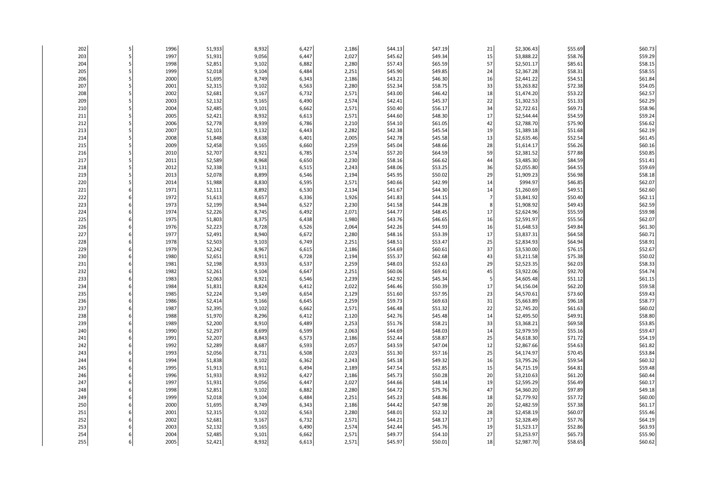| 202        | 1996         | 51,933           | 8,932          | 6,427          | 2,186          | \$44.13            | \$47.19            | 21             | \$2,306.43               | \$55.69            | \$60.73            |
|------------|--------------|------------------|----------------|----------------|----------------|--------------------|--------------------|----------------|--------------------------|--------------------|--------------------|
| 203        | 1997         | 51,931           | 9,056          | 6,447          | 2,027          | \$45.62            | \$49.34            | 15             | \$3,888.22               | \$58.76            | \$59.29            |
| 204        | 1998         | 52,851           | 9,102          | 6,882          | 2,280          | \$57.43            | \$65.59            | 57             | \$2,501.17               | \$85.61            | \$58.15            |
| 205        | 1999         | 52,018           | 9,104          | 6,484          | 2,251          | \$45.90            | \$49.85            | 24             | \$2,367.28               | \$58.31            | \$58.55            |
| 206        | 2000         | 51,695           | 8,749          | 6,343          | 2,186          | \$43.21            | \$46.30            | 16             | \$2,441.22               | \$54.51            | \$61.84            |
| 207        | 2001         | 52,315           | 9,102          | 6,563          | 2,280          | \$52.34            | \$58.75            | 33             | \$3,263.82               | \$72.38            | \$54.05            |
| 208        | 2002         | 52,681           | 9,167          | 6,732          | 2,571          | \$43.00            | \$46.42            | 18             | \$1,474.20               | \$53.22            | \$62.57            |
| 209        | 2003         | 52,132           | 9,165          | 6,490          | 2,574          | \$42.41            | \$45.37            | 22             | \$1,302.53               | \$51.33            | \$62.29            |
| 210        | 2004         | 52,485           | 9,101          | 6,662          | 2,571          | \$50.40            | \$56.17            | 34             | \$2,722.61               | \$69.71            | \$58.96            |
| 211        | 2005         | 52,421           | 8,932          | 6,613          | 2,571          | \$44.60            | \$48.30            | 17             | \$2,544.44               | \$54.59            | \$59.24            |
| 212        | 2006         | 52,778           | 8,939          | 6,786          | 2,210          | \$54.10            | \$61.05            | 42             | \$2,788.70               | \$75.90            | \$56.62            |
| 213        | 2007         | 52,101           | 9,132          | 6,443          | 2,282          | \$42.38            | \$45.54            | 19             | \$1,389.18               | \$51.68            | \$62.19            |
| 214        | 2008         | 51,848           | 8,638          | 6,401          | 2,005          | \$42.78            | \$45.58            | 13             | \$2,635.46               | \$52.54            | \$61.45            |
| 215        | 2009         | 52,458           | 9,165          | 6,660          | 2,259          | \$45.04            | \$48.66            | 28             | \$1,614.17               | \$56.26            | \$60.16            |
| 216        | 2010         | 52,707           | 8,921          | 6,785          | 2,574          | \$57.20            | \$64.59            | 59             | \$2,381.52               | \$77.88            | \$50.85            |
| 217        | 2011         | 52,589           | 8,968          | 6,650          | 2,230          | \$58.16            | \$66.62            | 44             | \$3,485.30               | \$84.59            | \$51.41            |
| 218        | 2012         | 52,338           | 9,131          | 6,515          | 2,243          | \$48.06            | \$53.25            | 36             | \$2,055.80               | \$64.55            | \$59.69            |
| 219        | 2013         | 52,078           | 8,899          | 6,546          | 2,194          | \$45.95            | \$50.02            | 29             | \$1,909.23               | \$56.98            | \$58.18            |
| 220        | 2014         | 51,988           | 8,830          | 6,595          | 2,571          | \$40.66            | \$42.99            | 14             | \$994.97                 | \$46.85            | \$62.07            |
| 221        | 1971         | 52,111           | 8,892          | 6,530          | 2,134          | \$41.67            | \$44.30            | 14             | \$1,260.69               | \$49.51            | \$62.60            |
| 222        | 1972         | 51,613           | 8,657          | 6,336          | 1,926          | \$41.83            | \$44.15            | $\overline{7}$ | \$3,841.92               | \$50.40            | \$62.11            |
| 223        | 1973         | 52,199           | 8,944          | 6,527          | 2,230          | \$41.58            | \$44.28            | 8              | \$1,908.92               | \$49.43            | \$62.59            |
| 224        | 1974         | 52,226           | 8,745          | 6,492          | 2,071          | \$44.77            | \$48.45            | 17             | \$2,624.96               | \$55.59            | \$59.98            |
| 225        | 1975         | 51,803           | 8,375          | 6,438          | 1,980          | \$43.76            | \$46.65            | 16             | \$2,591.97               | \$55.56            | \$62.07            |
| 226        | 1976<br>1977 | 52,223<br>52,491 | 8,728          | 6,526<br>6,672 | 2,064          | \$42.26            | \$44.93            | 16<br>17       | \$1,648.53               | \$49.84            | \$61.30<br>\$60.71 |
| 227<br>228 | 1978         | 52,503           | 8,940<br>9,103 | 6,749          | 2,280<br>2,251 | \$48.16<br>\$48.51 | \$53.39<br>\$53.47 | 25             | \$3,837.31<br>\$2,834.93 | \$64.58<br>\$64.94 | \$58.91            |
| 229        | 1979         | 52,242           | 8,967          | 6,615          | 2,186          | \$54.69            | \$60.61            | 37             | \$3,530.00               | \$76.15            | \$52.67            |
| 230        | 1980         | 52,651           | 8,911          | 6,728          | 2,194          | \$55.37            | \$62.68            | 43             | \$3,211.58               | \$75.38            | \$50.02            |
| 231        | 1981         | 52,198           | 8,933          | 6,537          | 2,259          | \$48.03            | \$52.63            | 29             | \$2,523.35               | \$62.03            | \$58.33            |
| 232        | 1982         | 52,261           | 9,104          | 6,647          | 2,251          | \$60.06            | \$69.41            | 45             | \$3,922.06               | \$92.70            | \$54.74            |
| 233        | 1983         | 52,063           | 8,921          | 6,546          | 2,239          | \$42.92            | \$45.34            | 5              | \$4,605.48               | \$51.12            | \$61.15            |
| 234        | 1984         | 51,831           | 8,824          | 6,412          | 2,022          | \$46.46            | \$50.39            | 17             | \$4,156.04               | \$62.20            | \$59.58            |
| 235        | 1985         | 52,224           | 9,149          | 6,654          | 2,129          | \$51.60            | \$57.95            | 23             | \$4,570.61               | \$73.60            | \$59.43            |
| 236        | 1986         | 52,414           | 9,166          | 6,645          | 2,259          | \$59.73            | \$69.63            | 31             | \$5,663.89               | \$96.18            | \$58.77            |
| 237        | 1987         | 52,395           | 9,102          | 6,662          | 2,571          | \$46.48            | \$51.32            | 22             | \$2,745.20               | \$61.63            | \$60.02            |
| 238        | 1988         | 51,970           | 8,296          | 6,412          | 2,120          | \$42.76            | \$45.48            | 14             | \$2,495.50               | \$49.91            | \$58.80            |
| 239        | 1989         | 52,200           | 8,910          | 6,489          | 2,253          | \$51.76            | \$58.21            | 33             | \$3,368.21               | \$69.58            | \$53.85            |
| 240        | 1990         | 52,297           | 8,699          | 6,599          | 2,063          | \$44.69            | \$48.03            | 14             | \$2,979.59               | \$55.16            | \$59.47            |
| 241        | 1991         | 52,207           | 8,843          | 6,573          | 2,186          | \$52.44            | \$58.87            | 25             | \$4,618.30               | \$71.72            | \$54.19            |
| 242        | 1992         | 52,289           | 8,687          | 6,593          | 2,057          | \$43.59            | \$47.04            | 12             | \$2,867.66               | \$54.63            | \$61.82            |
| 243        | 1993         | 52,056           | 8,731          | 6,508          | 2,023          | \$51.30            | \$57.16            | 25             | \$4,174.97               | \$70.45            | \$53.84            |
| 244        | 1994         | 51,838           | 9,102          | 6,362          | 2,243          | \$45.18            | \$49.32            | 16             | \$3,795.26               | \$59.54            | \$60.32            |
| 245        | 1995         | 51,913           | 8,911          | 6,494          | 2,189          | \$47.54            | \$52.85            | 15             | \$4,715.19               | \$64.81            | \$59.48            |
| 246        | 1996         | 51,933           | 8,932          | 6,427          | 2,186          | \$45.73            | \$50.28            | 20             | \$3,210.63               | \$61.20            | \$60.44            |
| 247        | 1997         | 51,931           | 9,056          | 6,447          | 2,027          | \$44.66            | \$48.14            | 19             | \$2,595.29               | \$56.49            | \$60.17            |
| 248        | 1998         | 52,851           | 9,102          | 6,882          | 2,280          | \$64.72            | \$75.76            | 47             | \$4,360.20               | \$97.89            | \$49.18            |
| 249        | 1999         | 52,018           | 9,104          | 6,484          | 2,251          | \$45.23            | \$48.86            | 18             | \$2,779.92               | \$57.72            | \$60.00            |
| 250        | 2000         | 51,695           | 8,749          | 6,343          | 2,186          | \$44.42            | \$47.98            | 20             | \$2,482.59               | \$57.38            | \$61.17            |
| 251        | 2001         | 52,315           | 9,102          | 6,563          | 2,280          | \$48.01            | \$52.32            | 28             | \$2,458.19               | \$60.07            | \$55.46            |
| 252        | 2002         | 52,681           | 9,167          | 6,732          | 2,571          | \$44.21            | \$48.17            | 17             | \$2,328.49               | \$57.76            | \$64.19            |
| 253        | 2003         | 52,132           | 9,165          | 6,490          | 2,574          | \$42.44            | \$45.76            | 19             | \$1,523.17               | \$52.86            | \$63.93            |
| 254        | 2004         | 52,485           | 9,101          | 6,662          | 2,571          | \$49.77            | \$54.10            | 27             | \$3,253.97               | \$65.73            | \$55.90            |
| 255        | 2005         | 52,421           | 8,932          | 6,613          | 2,571          | \$45.97            | \$50.01            | 18             | \$2,987.70               | \$58.65            | \$60.62            |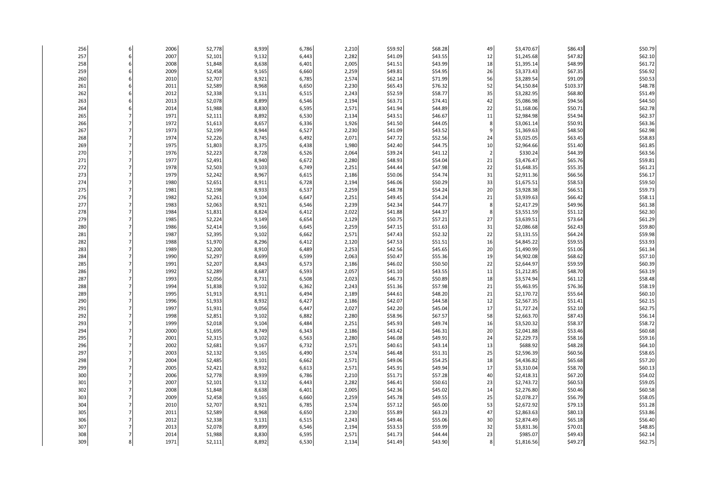| 256        |   | 2006         | 52,778           | 8,939          | 6,786          | 2,210          | \$59.92            | \$68.28            | 49             | \$3,470.67               | \$86.43            | \$50.79            |
|------------|---|--------------|------------------|----------------|----------------|----------------|--------------------|--------------------|----------------|--------------------------|--------------------|--------------------|
| 257        | 6 | 2007         | 52,101           | 9,132          | 6,443          | 2,282          | \$41.09            | \$43.55            | 12             | \$1,245.68               | \$47.82            | \$62.10            |
| 258        |   | 2008         | 51,848           | 8,638          | 6,401          | 2,005          | \$41.51            | \$43.99            | 18             | \$1,395.14               | \$48.99            | \$61.72            |
| 259        |   | 2009         | 52,458           | 9,165          | 6,660          | 2,259          | \$49.81            | \$54.95            | 26             | \$3,373.43               | \$67.35            | \$56.92            |
| 260        |   | 2010         | 52,707           | 8,921          | 6,785          | 2,574          | \$62.14            | \$71.99            | 56             | \$3,289.54               | \$91.09            | \$50.53            |
| 261        |   | 2011         | 52,589           | 8,968          | 6,650          | 2,230          | \$65.43            | \$76.32            | 52             | \$4,150.84               | \$103.37           | \$48.78            |
| 262        |   | 2012         | 52,338           | 9,131          | 6,515          | 2,243          | \$52.59            | \$58.77            | 35             | \$3,282.95               | \$68.80            | \$51.49            |
| 263        |   | 2013         | 52,078           | 8,899          | 6,546          | 2,194          | \$63.71            | \$74.41            | 42             | \$5,086.98               | \$94.56            | \$44.50            |
| 264        |   | 2014         | 51,988           | 8,830          | 6,595          | 2,571          | \$41.94            | \$44.89            | 22             | \$1,168.06               | \$50.71            | \$62.78            |
| 265        |   | 1971         | 52,111           | 8,892          | 6,530          | 2,134          | \$43.51            | \$46.67            | 11             | \$2,984.98               | \$54.94            | \$62.37            |
| 266        |   | 1972         | 51,613           | 8,657          | 6,336          | 1,926          | \$41.50            | \$44.05            | 8              | \$3,061.14               | \$50.91            | \$63.36            |
| 267        |   | 1973         | 52,199           | 8,944          | 6,527          | 2,230          | \$41.09            | \$43.52            | 9              | \$1,369.63               | \$48.50            | \$62.98            |
| 268        |   | 1974         | 52,226           | 8,745          | 6,492          | 2,071          | \$47.72            | \$52.56            | 24             | \$3,025.05               | \$63.45            | \$58.83            |
| 269        |   | 1975         | 51,803           | 8,375          | 6,438          | 1,980          | \$42.40            | \$44.75            | 10             | \$2,964.66               | \$51.40            | \$61.85            |
| 270        |   | 1976         | 52,223           | 8,728          | 6,526          | 2,064          | \$39.24            | \$41.12            | $\overline{2}$ | \$330.24                 | \$44.39            | \$63.56            |
| 271        |   | 1977         | 52,491           | 8,940          | 6,672          | 2,280          | \$48.93            | \$54.04            | 21             | \$3,476.47               | \$65.76            | \$59.81            |
| 272        |   | 1978         | 52,503           | 9,103          | 6,749          | 2,251          | \$44.44            | \$47.98            | 22             | \$1,648.35               | \$55.35            | \$61.21            |
| 273        |   | 1979         | 52,242           | 8,967          | 6,615          | 2,186          | \$50.06            | \$54.74            | 31             | \$2,911.36               | \$66.56            | \$56.17            |
| 274        |   | 1980         | 52,651           | 8,911          | 6,728          | 2,194          | \$46.06            | \$50.29            | 33             | \$1,675.51               | \$58.53            | \$59.50            |
| 275        |   | 1981         | 52,198           | 8,933          | 6,537          | 2,259          | \$48.78            | \$54.24            | 20             | \$3,928.38               | \$66.51            | \$59.73            |
| 276        |   | 1982         | 52,261           | 9,104          | 6,647          | 2,251          | \$49.45            | \$54.24            | 21             | \$3,939.63               | \$66.42            | \$58.11            |
| 277        |   | 1983         | 52,063           | 8,921          | 6,546          | 2,239          | \$42.34            | \$44.77            | 8              | \$2,417.29               | \$49.96            | \$61.38            |
| 278        |   | 1984         | 51,831           | 8,824          | 6,412          | 2,022          | \$41.88            | \$44.37            | 8              | \$3,551.59               | \$51.12            | \$62.30            |
| 279        |   | 1985         | 52,224           | 9,149          | 6,654          | 2,129          | \$50.75            | \$57.21            | 27             | \$3,639.51               | \$73.64            | \$61.29            |
| 280        |   | 1986         | 52,414           | 9,166          | 6,645          | 2,259          | \$47.15            | \$51.63            | 31             | \$2,086.68               | \$62.43            | \$59.80            |
| 281        |   | 1987         | 52,395           | 9,102          | 6,662          | 2,571          | \$47.43            | \$52.32            | 22             | \$3,131.55               | \$64.24            | \$59.98            |
| 282        |   | 1988         | 51,970           | 8,296          | 6,412          | 2,120          | \$47.53            | \$51.51            | 16             | \$4,845.22               | \$59.55            | \$53.93            |
| 283        |   | 1989         | 52,200           | 8,910          | 6,489          | 2,253          | \$42.56            | \$45.65            | 20             | \$1,490.99               | \$51.06            | \$61.34            |
| 284        |   | 1990         | 52,297           | 8,699          | 6,599          | 2,063          | \$50.47            | \$55.36            | 19             | \$4,902.08               | \$68.62            | \$57.10            |
| 285        |   | 1991         | 52,207           | 8,843          | 6,573          | 2,186          | \$46.02            | \$50.50            | 22             | \$2,644.97               | \$59.59            | \$60.39            |
| 286        |   | 1992         | 52,289           | 8,687          | 6,593          | 2,057          | \$41.10            | \$43.55            | 11             | \$1,212.85               | \$48.70            | \$63.19            |
| 287        |   | 1993         | 52,056           | 8,731          | 6,508          | 2,023          | \$46.73            | \$50.89            | 18             | \$3,574.94               | \$61.12            | \$58.48            |
| 288        |   | 1994         | 51,838           | 9,102          | 6,362          | 2,243          | \$51.36            | \$57.98            | 21             | \$5,463.95               | \$76.36            | \$58.19            |
| 289<br>290 |   | 1995<br>1996 | 51,913<br>51,933 | 8,911<br>8,932 | 6,494<br>6,427 | 2,189<br>2,186 | \$44.61<br>\$42.07 | \$48.20<br>\$44.58 | 21<br>12       | \$2,170.72<br>\$2,567.35 | \$55.64<br>\$51.41 | \$60.10<br>\$62.15 |
|            |   |              |                  |                |                |                |                    |                    |                |                          |                    |                    |
| 291<br>292 |   | 1997<br>1998 | 51,931           | 9,056<br>9,102 | 6,447<br>6,882 | 2,027          | \$42.20<br>\$58.96 | \$45.04            | 17             | \$1,727.24               | \$52.10<br>\$87.43 | \$62.75<br>\$56.14 |
|            |   |              | 52,851           |                |                | 2,280          |                    | \$67.57            | 58             | \$2,663.70               |                    |                    |
| 293<br>294 |   | 1999<br>2000 | 52,018<br>51,695 | 9,104<br>8,749 | 6,484<br>6,343 | 2,251<br>2,186 | \$45.93<br>\$43.42 | \$49.74<br>\$46.31 | 16<br>20       | \$3,520.32               | \$58.37<br>\$53.46 | \$58.72<br>\$60.68 |
| 295        |   | 2001         | 52,315           | 9,102          | 6,563          | 2,280          | \$46.08            | \$49.91            | 24             | \$2,041.88<br>\$2,229.73 | \$58.16            | \$59.16            |
| 296        |   | 2002         | 52,681           | 9,167          | 6,732          | 2,571          | \$40.61            | \$43.14            | 13             | \$688.92                 | \$48.28            | \$64.10            |
| 297        |   | 2003         | 52,132           | 9,165          | 6,490          | 2,574          | \$46.48            | \$51.31            | 25             | \$2,596.39               | \$60.56            | \$58.65            |
| 298        |   | 2004         | 52,485           | 9,101          | 6,662          | 2,571          | \$49.06            | \$54.25            | 18             | \$4,436.82               | \$65.68            | \$57.20            |
| 299        |   | 2005         | 52,421           | 8,932          | 6,613          | 2,571          | \$45.91            | \$49.94            | 17             | \$3,310.04               | \$58.70            | \$60.13            |
| 300        |   | 2006         | 52,778           | 8,939          | 6,786          | 2,210          | \$51.71            | \$57.28            | 40             | \$2,418.31               | \$67.20            | \$54.02            |
| 301        |   | 2007         | 52,101           | 9,132          | 6,443          | 2,282          | \$46.41            | \$50.61            | 23             | \$2,743.72               | \$60.53            | \$59.05            |
| 302        |   | 2008         | 51,848           | 8,638          | 6,401          | 2,005          | \$42.36            | \$45.02            | 14             | \$2,276.80               | \$50.46            | \$60.58            |
| 303        |   | 2009         | 52,458           | 9,165          | 6,660          | 2,259          | \$45.78            | \$49.55            | 25             | \$2,078.27               | \$56.79            | \$58.05            |
| 304        |   | 2010         | 52,707           | 8,921          | 6,785          | 2,574          | \$57.12            | \$65.00            | 53             | \$2,672.92               | \$79.13            | \$51.28            |
| 305        |   | 2011         | 52,589           | 8,968          | 6,650          | 2,230          | \$55.89            | \$63.23            | 47             | \$2,863.63               | \$80.13            | \$53.86            |
| 306        |   | 2012         | 52,338           | 9,131          | 6,515          | 2,243          | \$49.46            | \$55.06            | 30             | \$2,874.49               | \$65.18            | \$56.40            |
| 307        |   | 2013         | 52,078           | 8,899          | 6,546          | 2,194          | \$53.53            | \$59.99            | 32             | \$3,831.36               | \$70.01            | \$48.85            |
| 308        |   | 2014         | 51,988           | 8,830          | 6,595          | 2,571          | \$41.73            | \$44.44            | 23             | \$985.07                 | \$49.43            | \$62.14            |
| 309        |   | 1971         | 52,111           | 8,892          | 6,530          | 2,134          | \$41.49            | \$43.90            | 8              | \$1,816.56               | \$49.27            | \$62.75            |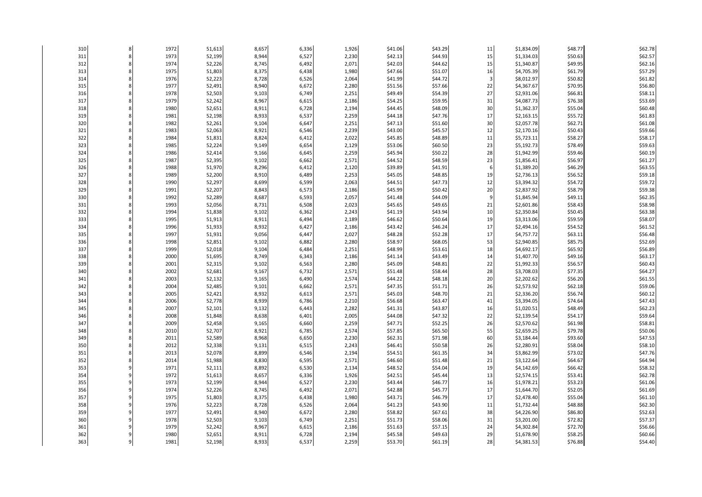| 310        | 1972         | 51,613           | 8,657          | 6,336          | 1,926          | \$41.06            | \$43.29            | $11\,$         | \$1,834.09               | \$48.77            | \$62.78            |
|------------|--------------|------------------|----------------|----------------|----------------|--------------------|--------------------|----------------|--------------------------|--------------------|--------------------|
| 311        | 1973         | 52,199           | 8,944          | 6,527          | 2,230          | \$42.13            | \$44.93            | 15             | \$1,334.03               | \$50.63            | \$62.57            |
| 312        | 1974         | 52,226           | 8,745          | 6,492          | 2,071          | \$42.03            | \$44.62            | 15             | \$1,340.87               | \$49.95            | \$62.16            |
| 313        | 1975         | 51,803           | 8,375          | 6,438          | 1,980          | \$47.66            | \$51.07            | 16             | \$4,705.39               | \$61.79            | \$57.29            |
| 314        | 1976         | 52,223           | 8,728          | 6,526          | 2,064          | \$41.99            | \$44.72            | $\overline{3}$ | \$8,012.97               | \$50.82            | \$61.82            |
| 315        | 1977         | 52,491           | 8,940          | 6,672          | 2,280          | \$51.56            | \$57.66            | 22             | \$4,367.67               | \$70.95            | \$56.80            |
| 316        | 1978         | 52,503           | 9,103          | 6,749          | 2,251          | \$49.49            | \$54.39            | 27             | \$2,931.06               | \$66.81            | \$58.11            |
| 317        | 1979         | 52,242           | 8,967          | 6,615          | 2,186          | \$54.25            | \$59.95            | 31             | \$4,087.73               | \$76.38            | \$53.69            |
| 318        | 1980         | 52,651           | 8,911          | 6,728          | 2,194          | \$44.45            | \$48.09            | 30             | \$1,362.37               | \$55.04            | \$60.48            |
| 319        | 1981         | 52,198           | 8,933          | 6,537          | 2,259          | \$44.18            | \$47.76            | 17             | \$2,163.15               | \$55.72            | \$61.83            |
| 320        | 1982         | 52,261           | 9,104          | 6,647          | 2,251          | \$47.13            | \$51.60            | 30             | \$2,057.78               | \$62.71            | \$61.08            |
| 321        | 1983         | 52,063           | 8,921          | 6,546          | 2,239          | \$43.00            | \$45.57            | 12             | \$2,170.16               | \$50.43            | \$59.66            |
| 322        | 1984         | 51,831           | 8,824          | 6,412          | 2,022          | \$45.85            | \$48.89            | 11             | \$5,723.11               | \$58.27            | \$58.17            |
| 323        | 1985         | 52,224           | 9,149          | 6,654          | 2,129          | \$53.06            | \$60.50            | 23             | \$5,192.73               | \$78.49            | \$59.63            |
| 324        | 1986         | 52,414           | 9,166          | 6,645          | 2,259          | \$45.94            | \$50.22            | 28             | \$1,942.99               | \$59.46            | \$60.19            |
| 325        | 1987         | 52,395           | 9,102          | 6,662          | 2,571          | \$44.52            | \$48.59            | 23             | \$1,856.41               | \$56.97            | \$61.27            |
| 326        | 1988         | 51,970           | 8,296          | 6,412          | 2,120          | \$39.89            | \$41.91            | 6              | \$1,389.20               | \$46.29            | \$63.55            |
| 327        | 1989         | 52,200           | 8,910          | 6,489          | 2,253          | \$45.05            | \$48.85            | 19             | \$2,736.13               | \$56.52            | \$59.18            |
| 328        | 1990         | 52,297           | 8,699          | 6,599          | 2,063          | \$44.51            | \$47.73            | 12             | \$3,394.32               | \$54.72            | \$59.72            |
| 329        | 1991         | 52,207           | 8,843          | 6,573          | 2,186          | \$45.99            | \$50.42            | 20             | \$2,837.92               | \$58.79            | \$59.38            |
| 330        | 1992         | 52,289           | 8,687          | 6,593          | 2,057          | \$41.48            | \$44.09            | g              | \$1,845.94               | \$49.11            | \$62.35            |
| 331        | 1993         | 52,056           | 8,731          | 6,508          | 2,023          | \$45.65            | \$49.65            | 21             | \$2,601.86               | \$58.43            | \$58.98            |
| 332        | 1994         | 51,838           | 9,102          | 6,362          | 2,243          | \$41.19            | \$43.94            | 10             | \$2,350.84               | \$50.45            | \$63.38            |
| 333        | 1995         | 51,913           | 8,911          | 6,494          | 2,189          | \$46.62            | \$50.64            | 19             | \$3,313.06               | \$59.59            | \$58.07            |
| 334        | 1996         | 51,933           | 8,932          | 6,427          | 2,186          | \$43.42            | \$46.24            | 17             | \$2,494.16               | \$54.52            | \$61.52            |
| 335        | 1997         | 51,931           | 9,056          | 6,447          | 2,027          | \$48.28            | \$52.28            | 17             | \$4,757.72               | \$63.11            | \$56.48            |
| 336        | 1998         | 52,851           | 9,102          | 6,882          | 2,280          | \$58.97            | \$68.05            | 53             | \$2,940.85               | \$85.75            | \$52.69            |
| 337        | 1999         | 52,018           | 9,104          | 6,484          | 2,251          | \$48.99            | \$53.61            | 18             | \$4,692.17               | \$65.92            | \$56.89            |
| 338        | 2000         | 51,695           | 8,749          | 6,343          | 2,186          | \$41.14            | \$43.49            | 14             | \$1,407.70               | \$49.16            | \$63.17            |
| 339        | 2001         | 52,315           | 9,102          | 6,563          | 2,280          | \$45.09            | \$48.81            | 22             | \$1,992.33               | \$56.57            | \$60.43            |
| 340        | 2002         | 52,681           | 9,167          | 6,732          | 2,571          | \$51.48            | \$58.44            | 28             | \$3,708.03               | \$77.35            | \$64.27            |
| 341        | 2003         | 52,132           | 9,165          | 6,490          | 2,574          | \$44.22            | \$48.18            | 20             | \$2,202.62               | \$56.20            | \$61.55            |
| 342        | 2004         | 52,485           | 9,101          | 6,662          | 2,571          | \$47.35            | \$51.71            | 26             | \$2,573.92               | \$62.18            | \$59.06            |
| 343        | 2005         | 52,421           | 8,932          | 6,613          | 2,571          | \$45.03            | \$48.70            | 21             | \$2,336.20               | \$56.74            | \$60.12            |
| 344        | 2006         | 52,778           | 8,939          | 6,786          | 2,210          | \$56.68            | \$63.47            | 41             | \$3,394.05               | \$74.64            | \$47.43            |
| 345<br>346 | 2007<br>2008 | 52,101           | 9,132          | 6,443          | 2,282          | \$41.31            | \$43.87            | 16             | \$1,020.51               | \$48.49<br>\$54.17 | \$62.23<br>\$59.64 |
|            |              | 51,848           | 8,638          | 6,401          | 2,005          | \$44.08            | \$47.32            | 22             | \$2,139.54               |                    |                    |
| 347<br>348 | 2009<br>2010 | 52,458<br>52,707 | 9,165<br>8,921 | 6,660<br>6,785 | 2,259<br>2,574 | \$47.71<br>\$57.85 | \$52.25<br>\$65.50 | 26<br>55       | \$2,570.62<br>\$2,659.25 | \$61.98<br>\$79.78 | \$58.81<br>\$50.06 |
| 349        | 2011         | 52,589           | 8,968          | 6,650          | 2,230          | \$62.31            | \$71.98            | 60             | \$3,184.44               | \$93.60            | \$47.53            |
| 350        | 2012         | 52,338           | 9,131          | 6,515          | 2,243          | \$46.41            | \$50.58            | 26             | \$2,280.91               | \$58.04            | \$58.10            |
| 351        | 2013         | 52,078           | 8,899          | 6,546          | 2,194          | \$54.51            | \$61.35            | 34             | \$3,862.99               | \$73.02            | \$47.76            |
| 352        | 2014         | 51,988           | 8,830          | 6,595          | 2,571          | \$46.60            | \$51.48            | 21             | \$3,122.64               | \$64.67            | \$64.94            |
| 353        | 1971         | 52,111           | 8,892          | 6,530          | 2,134          | \$48.52            | \$54.04            | 19             | \$4,142.69               | \$66.42            | \$58.32            |
| 354        | 1972         | 51,613           | 8,657          | 6,336          | 1,926          | \$42.51            | \$45.44            | 13             | \$2,574.15               | \$53.41            | \$62.78            |
| 355        | 1973         | 52,199           | 8,944          | 6,527          | 2,230          | \$43.44            | \$46.77            | 16             | \$1,978.21               | \$53.23            | \$61.06            |
| 356        | 1974         | 52,226           | 8,745          | 6,492          | 2,071          | \$42.88            | \$45.77            | 17             | \$1,644.70               | \$52.05            | \$61.69            |
| 357        | 1975         | 51,803           | 8,375          | 6,438          | 1,980          | \$43.71            | \$46.79            | 17             | \$2,478.40               | \$55.04            | \$61.10            |
| 358        | 1976         | 52,223           | 8,728          | 6,526          | 2,064          | \$41.23            | \$43.90            | $11\,$         | \$1,732.44               | \$48.88            | \$62.30            |
| 359        | 1977         | 52,491           | 8,940          | 6,672          | 2,280          | \$58.82            | \$67.61            | 38             | \$4,226.90               | \$86.80            | \$52.63            |
| 360        | 1978         | 52,503           | 9,103          | 6,749          | 2,251          | \$51.73            | \$58.06            | 31             | \$3,201.00               | \$72.82            | \$57.37            |
| 361        | 1979         | 52,242           | 8,967          | 6,615          | 2,186          | \$51.63            | \$57.15            | 24             | \$4,302.84               | \$72.70            | \$56.66            |
| 362        | 1980         | 52,651           | 8,911          | 6,728          | 2,194          | \$45.58            | \$49.63            | 29             | \$1,678.90               | \$58.25            | \$60.66            |
| 363        | 1981         | 52,198           | 8,933          | 6,537          | 2,259          | \$53.70            | \$61.19            | 28             | \$4,381.53               | \$76.88            | \$54.40            |
|            |              |                  |                |                |                |                    |                    |                |                          |                    |                    |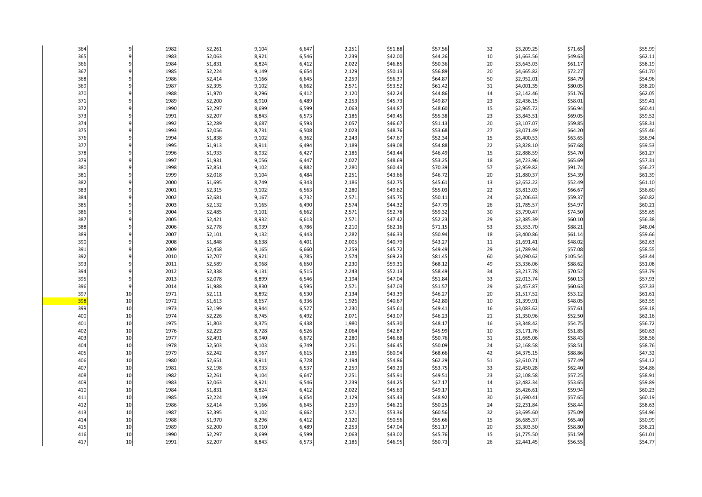| 364        | 9  | 1982         | 52,261           | 9,104          | 6,647          | 2,251          | \$51.88            | \$57.56            | 32       | \$3,209.25               | \$71.65            | \$55.99            |
|------------|----|--------------|------------------|----------------|----------------|----------------|--------------------|--------------------|----------|--------------------------|--------------------|--------------------|
| 365        |    | 1983         | 52,063           | 8,921          | 6,546          | 2,239          | \$42.00            | \$44.26            | 10       | \$1,663.56               | \$49.63            | \$62.11            |
| 366        |    | 1984         | 51,831           | 8,824          | 6,412          | 2,022          | \$46.85            | \$50.36            | 20       | \$3,643.03               | \$61.17            | \$58.19            |
| 367        |    | 1985         | 52,224           | 9,149          | 6,654          | 2,129          | \$50.13            | \$56.89            | 20       | \$4,665.82               | \$72.27            | \$61.70            |
| 368        |    | 1986         | 52,414           | 9,166          | 6,645          | 2,259          | \$56.37            | \$64.87            | 50       | \$2,952.01               | \$84.79            | \$54.96            |
| 369        |    | 1987         | 52,395           | 9,102          | 6,662          | 2,571          | \$53.52            | \$61.42            | 31       | \$4,001.35               | \$80.05            | \$58.20            |
| 370        |    | 1988         | 51,970           | 8,296          | 6,412          | 2,120          | \$42.24            | \$44.86            | 14       | \$2,142.46               | \$51.76            | \$62.05            |
| 371        |    | 1989         | 52,200           | 8,910          | 6,489          | 2,253          | \$45.73            | \$49.87            | 23       | \$2,436.15               | \$58.01            | \$59.41            |
| 372        |    | 1990         | 52,297           | 8,699          | 6,599          | 2,063          | \$44.87            | \$48.60            | 15       | \$2,965.72               | \$56.94            | \$60.41            |
| 373        |    | 1991         | 52,207           | 8,843          | 6,573          | 2,186          | \$49.45            | \$55.38            | 23       | \$3,843.51               | \$69.05            | \$59.52            |
| 374        |    | 1992         | 52,289           | 8,687          | 6,593          | 2,057          | \$46.67            | \$51.13            | 20       | \$3,107.07               | \$59.85            | \$58.31            |
| 375        |    | 1993         | 52,056           | 8,731          | 6,508          | 2,023          | \$48.76            | \$53.68            | 27       | \$3,071.49               | \$64.20            | \$55.46            |
| 376        |    | 1994         | 51,838           | 9,102          | 6,362          | 2,243          | \$47.67            | \$52.34            | 15       | \$5,400.53               | \$63.65            | \$56.94            |
| 377        |    | 1995         | 51,913           | 8,911          | 6,494          | 2,189          | \$49.08            | \$54.88            | 22       | \$3,828.10               | \$67.68            | \$59.53            |
| 378        |    | 1996         | 51,933           | 8,932          | 6,427          | 2,186          | \$43.44            | \$46.49            | 15       | \$2,888.59               | \$54.70            | \$61.27            |
| 379        |    | 1997         | 51,931           | 9,056          | 6,447          | 2,027          | \$48.69            | \$53.25            | 18       | \$4,723.96               | \$65.69            | \$57.31            |
| 380        |    | 1998         | 52,851           | 9,102          | 6,882          | 2,280          | \$60.43            | \$70.39            | 57       | \$2,959.82               | \$91.74            | \$56.27            |
| 381        |    | 1999         | 52,018           | 9,104          | 6,484          | 2,251          | \$43.66            | \$46.72            | 20       | \$1,880.37               | \$54.39            | \$61.39            |
| 382        |    | 2000         | 51,695           | 8,749          | 6,343          | 2,186          | \$42.75            | \$45.61            | 13       | \$2,652.22               | \$52.49            | \$61.10            |
| 383        |    | 2001         | 52,315           | 9,102          | 6,563          | 2,280          | \$49.62            | \$55.03            | 22       | \$3,813.03               | \$66.67            | \$56.60            |
| 384<br>385 |    | 2002<br>2003 | 52,681           | 9,167<br>9,165 | 6,732<br>6,490 | 2,571<br>2,574 | \$45.75<br>\$44.32 | \$50.11<br>\$47.79 | 24<br>26 | \$2,206.63<br>\$1,785.57 | \$59.37<br>\$54.97 | \$60.82<br>\$60.21 |
|            |    | 2004         | 52,132           |                |                |                |                    |                    | 30       |                          |                    |                    |
| 386<br>387 |    | 2005         | 52,485<br>52,421 | 9,101<br>8,932 | 6,662<br>6,613 | 2,571<br>2,571 | \$52.78<br>\$47.42 | \$59.32<br>\$52.23 | 29       | \$3,790.47<br>\$2,385.39 | \$74.50<br>\$60.10 | \$55.65<br>\$56.38 |
| 388        |    | 2006         | 52,778           | 8,939          | 6,786          | 2,210          | \$62.16            | \$71.15            | 53       | \$3,553.70               | \$88.21            | \$46.04            |
| 389        |    | 2007         | 52,101           | 9,132          | 6,443          | 2,282          | \$46.33            | \$50.94            | 18       | \$3,400.86               | \$61.14            | \$59.66            |
| 390        |    | 2008         | 51,848           | 8,638          | 6,401          | 2,005          | \$40.79            | \$43.27            | 11       | \$1,691.41               | \$48.02            | \$62.63            |
| 391        |    | 2009         | 52,458           | 9,165          | 6,660          | 2,259          | \$45.72            | \$49.49            | 29       | \$1,789.94               | \$57.08            | \$58.55            |
| 392        |    | 2010         | 52,707           | 8,921          | 6,785          | 2,574          | \$69.23            | \$81.45            | 60       | \$4,090.62               | \$105.54           | \$43.44            |
| 393        |    | 2011         | 52,589           | 8,968          | 6,650          | 2,230          | \$59.31            | \$68.12            | 49       | \$3,336.06               | \$88.62            | \$51.08            |
| 394        |    | 2012         | 52,338           | 9,131          | 6,515          | 2,243          | \$52.13            | \$58.49            | 34       | \$3,217.78               | \$70.52            | \$53.79            |
| 395        |    | 2013         | 52,078           | 8,899          | 6,546          | 2,194          | \$47.04            | \$51.84            | 33       | \$2,013.74               | \$60.13            | \$57.93            |
| 396        |    | 2014         | 51,988           | 8,830          | 6,595          | 2,571          | \$47.03            | \$51.57            | 29       | \$2,457.87               | \$60.63            | \$57.33            |
| 397        | 10 | 1971         | 52,111           | 8,892          | 6,530          | 2,134          | \$43.39            | \$46.27            | 20       | \$1,517.52               | \$53.12            | \$61.61            |
| 398        | 10 | 1972         | 51,613           | 8,657          | 6,336          | 1,926          | \$40.67            | \$42.80            | 10       | \$1,399.91               | \$48.05            | \$63.55            |
| 399        | 10 | 1973         | 52,199           | 8,944          | 6,527          | 2,230          | \$45.61            | \$49.41            | 16       | \$3,083.62               | \$57.61            | \$59.18            |
| 400        | 10 | 1974         | 52,226           | 8,745          | 6,492          | 2,071          | \$43.07            | \$46.23            | 21       | \$1,350.96               | \$52.50            | \$62.16            |
| 401        | 10 | 1975         | 51,803           | 8,375          | 6,438          | 1,980          | \$45.30            | \$48.17            | 16       | \$3,348.42               | \$54.75            | \$56.72            |
| 402        | 10 | 1976         | 52,223           | 8,728          | 6,526          | 2,064          | \$42.87            | \$45.99            | 10       | \$3,171.76               | \$51.85            | \$60.63            |
| 403        | 10 | 1977         | 52,491           | 8,940          | 6,672          | 2,280          | \$46.68            | \$50.76            | 31       | \$1,665.06               | \$58.43            | \$58.56            |
| 404        | 10 | 1978         | 52,503           | 9,103          | 6,749          | 2,251          | \$46.45            | \$50.09            | 24       | \$2,168.58               | \$58.51            | \$58.76            |
| 405        | 10 | 1979         | 52,242           | 8,967          | 6,615          | 2,186          | \$60.94            | \$68.66            | 42       | \$4,375.15               | \$88.86            | \$47.32            |
| 406        | 10 | 1980         | 52,651           | 8,911          | 6,728          | 2,194          | \$54.86            | \$62.29            | 51       | \$2,610.71               | \$77.49            | \$54.12            |
| 407        | 10 | 1981         | 52,198           | 8,933          | 6,537          | 2,259          | \$49.23            | \$53.75            | 33       | \$2,450.28               | \$62.40            | \$54.86            |
| 408        | 10 | 1982         | 52,261           | 9,104          | 6,647          | 2,251          | \$45.91            | \$49.51            | 23       | \$2,108.58               | \$57.25            | \$58.91            |
| 409        | 10 | 1983         | 52,063           | 8,921          | 6,546          | 2,239          | \$44.25            | \$47.17            | 14       | \$2,482.34               | \$53.65            | \$59.89            |
| 410        | 10 | 1984         | 51,831           | 8,824          | 6,412          | 2,022          | \$45.63            | \$49.17            | 11       | \$5,426.61               | \$59.94            | \$60.23            |
| 411        | 10 | 1985         | 52,224           | 9,149          | 6,654          | 2,129          | \$45.43            | \$48.92            | 30       | \$1,690.41               | \$57.65            | \$60.19            |
| 412        | 10 | 1986         | 52,414           | 9,166          | 6,645          | 2,259          | \$46.21            | \$50.25            | 24       | \$2,231.84               | \$58.44            | \$58.63            |
| 413        | 10 | 1987         | 52,395           | 9,102          | 6,662          | 2,571          | \$53.36            | \$60.56            | 32       | \$3,695.60               | \$75.09            | \$54.96            |
| 414        | 10 | 1988         | 51,970           | 8,296          | 6,412          | 2,120          | \$50.56            | \$55.66            | 15       | \$6,685.37               | \$65.40            | \$50.99            |
| 415        | 10 | 1989         | 52,200           | 8,910          | 6,489          | 2,253          | \$47.04            | \$51.17            | 20       | \$3,303.50               | \$58.80            | \$56.21            |
| 416        | 10 | 1990         | 52,297           | 8,699          | 6,599          | 2,063          | \$43.02            | \$45.76            | 15       | \$1,775.50               | \$51.59            | \$61.01            |
| 417        | 10 | 1991         | 52,207           | 8,843          | 6,573          | 2,186          | \$46.95            | \$50.73            | 26       | \$2,441.45               | \$56.55            | \$54.77            |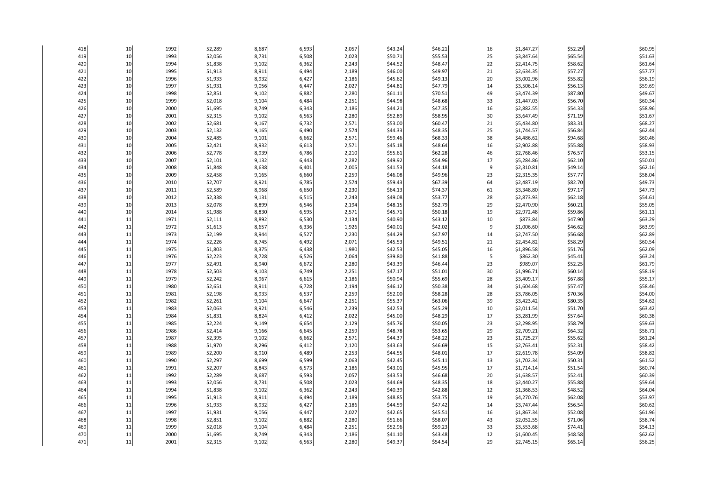| 418        | 10       | 1992         | 52,289           | 8,687          | 6,593          | 2,057          | \$43.24            | \$46.21            | 16      | \$1,847.27             | \$52.29            | \$60.95            |
|------------|----------|--------------|------------------|----------------|----------------|----------------|--------------------|--------------------|---------|------------------------|--------------------|--------------------|
| 419        | 10       | 1993         | 52,056           | 8,731          | 6,508          | 2,023          | \$50.71            | \$55.53            | 25      | \$3,847.64             | \$65.54            | \$51.63            |
| 420        | 10       | 1994         | 51,838           | 9,102          | 6,362          | 2,243          | \$44.52            | \$48.47            | 22      | \$2,414.75             | \$58.62            | \$61.64            |
| 421        | 10       | 1995         | 51,913           | 8,911          | 6,494          | 2,189          | \$46.00            | \$49.97            | 21      | \$2,634.35             | \$57.27            | \$57.77            |
| 422        | 10       | 1996         | 51,933           | 8,932          | 6,427          | 2,186          | \$45.62            | \$49.13            | 20      | \$3,002.96             | \$55.82            | \$56.19            |
| 423        | 10       | 1997         | 51,931           | 9,056          | 6,447          | 2,027          | \$44.81            | \$47.79            | 14      | \$3,506.14             | \$56.13            | \$59.69            |
| 424        | 10       | 1998         | 52,851           | 9,102          | 6,882          | 2,280          | \$61.11            | \$70.51            | 49      | \$3,474.39             | \$87.80            | \$49.67            |
| 425        | 10       | 1999         | 52,018           | 9,104          | 6,484          | 2,251          | \$44.98            | \$48.68            | 33      | \$1,447.03             | \$56.70            | \$60.34            |
| 426        | 10       | 2000         | 51,695           | 8,749          | 6,343          | 2,186          | \$44.21            | \$47.35            | 16      | \$2,882.55             | \$54.33            | \$58.96            |
| 427        | 10       | 2001         | 52,315           | 9,102          | 6,563          | 2,280          | \$52.89            | \$58.95            | 30      | \$3,647.49             | \$71.19            | \$51.67            |
| 428        | 10       | 2002         | 52,681           | 9,167          | 6,732          | 2,571          | \$53.00            | \$60.47            | 21      | \$5,434.80             | \$83.31            | \$68.27            |
| 429        | 10       | 2003         | 52,132           | 9,165          | 6,490          | 2,574          | \$44.33            | \$48.35            | 25      | \$1,744.57             | \$56.84            | \$62.44            |
| 430        | 10       | 2004         | 52,485           | 9,101          | 6,662          | 2,571          | \$59.46            | \$68.33            | 38      | \$4,486.62             | \$94.68            | \$60.46            |
| 431        | 10       | 2005         | 52,421           | 8,932          | 6,613          | 2,571          | \$45.18            | \$48.64            | 16      | \$2,902.88             | \$55.88            | \$58.93            |
| 432        | 10       | 2006         | 52,778           | 8,939          | 6,786          | 2,210          | \$55.61            | \$62.28            | 46      | \$2,768.46             | \$76.57            | \$53.15            |
| 433        | 10       | 2007         | 52,101           | 9,132          | 6,443          | 2,282          | \$49.92            | \$54.96            | 17      | \$5,284.86             | \$62.10            | \$50.01            |
| 434        | 10       | 2008         | 51,848           | 8,638          | 6,401          | 2,005          | \$41.53            | \$44.18            | 9       | \$2,310.81             | \$49.14            | \$62.16            |
| 435        | 10       | 2009         | 52,458           | 9,165          | 6,660          | 2,259          | \$46.08            | \$49.96            | 23      | \$2,315.35             | \$57.77            | \$58.04            |
| 436        | 10       | 2010         | 52,707           | 8,921          | 6,785          | 2,574          | \$59.43            | \$67.39            | 64      | \$2,487.19             | \$82.70            | \$49.73            |
| 437        | 10       | 2011         | 52,589           | 8,968          | 6,650          | 2,230          | \$64.13            | \$74.37            | 61      | \$3,348.80             | \$97.17            | \$47.73            |
| 438        | 10       | 2012         | 52,338           | 9,131          | 6,515          | 2,243          | \$49.08            | \$53.77            | 28      | \$2,873.93             | \$62.18            | \$54.61            |
| 439        | 10       | 2013         | 52,078           | 8,899          | 6,546          | 2,194          | \$48.15            | \$52.79            | 29      | \$2,470.90             | \$60.21            | \$55.05            |
| 440        | 10       | 2014<br>1971 | 51,988           | 8,830          | 6,595          | 2,571          | \$45.71            | \$50.18            | 19      | \$2,972.48             | \$59.86            | \$61.11            |
| 441        | 11       |              | 52,111           | 8,892          | 6,530          | 2,134          | \$40.90            | \$43.12            | 10      | \$873.84               | \$47.90            | \$63.29            |
| 442<br>443 | 11<br>11 | 1972<br>1973 | 51,613           | 8,657          | 6,336<br>6,527 | 1,926<br>2,230 | \$40.01            | \$42.02<br>\$47.97 | 9<br>14 | \$1,006.60             | \$46.62            | \$63.99<br>\$62.89 |
|            | 11       |              | 52,199           | 8,944          |                |                | \$44.29            |                    | 21      | \$2,747.50             | \$56.68            | \$60.54            |
| 444<br>445 | 11       | 1974<br>1975 | 52,226           | 8,745          | 6,492          | 2,071<br>1,980 | \$45.53<br>\$42.53 | \$49.51<br>\$45.05 | 16      | \$2,454.82             | \$58.29            | \$62.09            |
| 446        | 11       | 1976         | 51,803<br>52,223 | 8,375<br>8,728 | 6,438<br>6,526 | 2,064          | \$39.80            | \$41.88            | 5       | \$1,896.58<br>\$862.30 | \$51.76<br>\$45.41 | \$63.24            |
| 447        | 11       | 1977         | 52,491           | 8,940          | 6,672          | 2,280          | \$43.39            | \$46.44            | 23      | \$989.07               | \$52.25            | \$61.79            |
| 448        | 11       | 1978         | 52,503           | 9,103          | 6,749          | 2,251          | \$47.17            | \$51.01            | 30      | \$1,996.71             | \$60.14            | \$58.19            |
| 449        | 11       | 1979         | 52,242           | 8,967          | 6,615          | 2,186          | \$50.94            | \$55.69            | 28      | \$3,409.17             | \$67.88            | \$55.17            |
| 450        | 11       | 1980         | 52,651           | 8,911          | 6,728          | 2,194          | \$46.12            | \$50.38            | 34      | \$1,604.68             | \$57.47            | \$58.46            |
| 451        | 11       | 1981         | 52,198           | 8,933          | 6,537          | 2,259          | \$52.00            | \$58.28            | 28      | \$3,786.05             | \$70.36            | \$54.00            |
| 452        | 11       | 1982         | 52,261           | 9,104          | 6,647          | 2,251          | \$55.37            | \$63.06            | 39      | \$3,423.42             | \$80.35            | \$54.62            |
| 453        | 11       | 1983         | 52,063           | 8,921          | 6,546          | 2,239          | \$42.53            | \$45.29            | 10      | \$2,011.54             | \$51.70            | \$63.42            |
| 454        | 11       | 1984         | 51,831           | 8,824          | 6,412          | 2,022          | \$45.00            | \$48.29            | 17      | \$3,281.99             | \$57.64            | \$60.38            |
| 455        | 11       | 1985         | 52,224           | 9,149          | 6,654          | 2,129          | \$45.76            | \$50.05            | 23      | \$2,298.95             | \$58.79            | \$59.63            |
| 456        | 11       | 1986         | 52,414           | 9,166          | 6,645          | 2,259          | \$48.78            | \$53.65            | 29      | \$2,709.21             | \$64.32            | \$56.71            |
| 457        | 11       | 1987         | 52,395           | 9,102          | 6,662          | 2,571          | \$44.37            | \$48.22            | 23      | \$1,725.27             | \$55.62            | \$61.24            |
| 458        | 11       | 1988         | 51,970           | 8,296          | 6,412          | 2,120          | \$43.63            | \$46.69            | 15      | \$2,763.41             | \$52.31            | \$58.42            |
| 459        | 11       | 1989         | 52,200           | 8,910          | 6,489          | 2,253          | \$44.55            | \$48.01            | 17      | \$2,619.78             | \$54.09            | \$58.82            |
| 460        | 11       | 1990         | 52,297           | 8,699          | 6,599          | 2,063          | \$42.45            | \$45.11            | 13      | \$1,702.34             | \$50.31            | \$61.52            |
| 461        | 11       | 1991         | 52,207           | 8,843          | 6,573          | 2,186          | \$43.01            | \$45.95            | 17      | \$1,714.14             | \$51.54            | \$60.74            |
| 462        | 11       | 1992         | 52,289           | 8,687          | 6,593          | 2,057          | \$43.53            | \$46.68            | 20      | \$1,638.57             | \$52.41            | \$60.39            |
| 463        | 11       | 1993         | 52,056           | 8,731          | 6,508          | 2,023          | \$44.69            | \$48.35            | 18      | \$2,440.27             | \$55.88            | \$59.64            |
| 464        | 11       | 1994         | 51,838           | 9,102          | 6,362          | 2,243          | \$40.39            | \$42.88            | 12      | \$1,368.53             | \$48.52            | \$64.04            |
| 465        | 11       | 1995         | 51,913           | 8,911          | 6,494          | 2,189          | \$48.85            | \$53.75            | 19      | \$4,270.76             | \$62.08            | \$53.97            |
| 466        | 11       | 1996         | 51,933           | 8,932          | 6,427          | 2,186          | \$44.59            | \$47.42            | 14      | \$3,747.44             | \$56.54            | \$60.62            |
| 467        | 11       | 1997         | 51,931           | 9,056          | 6,447          | 2,027          | \$42.65            | \$45.51            | 16      | \$1,867.34             | \$52.08            | \$61.96            |
| 468        | 11       | 1998         | 52,851           | 9,102          | 6,882          | 2,280          | \$51.66            | \$58.07            | 43      | \$2,052.55             | \$71.06            | \$58.74            |
| 469        | 11       | 1999         | 52,018           | 9,104          | 6,484          | 2,251          | \$52.96            | \$59.23            | 33      | \$3,553.68             | \$74.41            | \$54.13            |
| 470        | 11       | 2000         | 51,695           | 8,749          | 6,343          | 2,186          | \$41.10            | \$43.48            | 12      | \$1,600.45             | \$48.58            | \$62.62            |
| 471        | 11       | 2001         | 52,315           | 9,102          | 6,563          | 2,280          | \$49.37            | \$54.54            | 29      | \$2,745.15             | \$65.14            | \$56.25            |